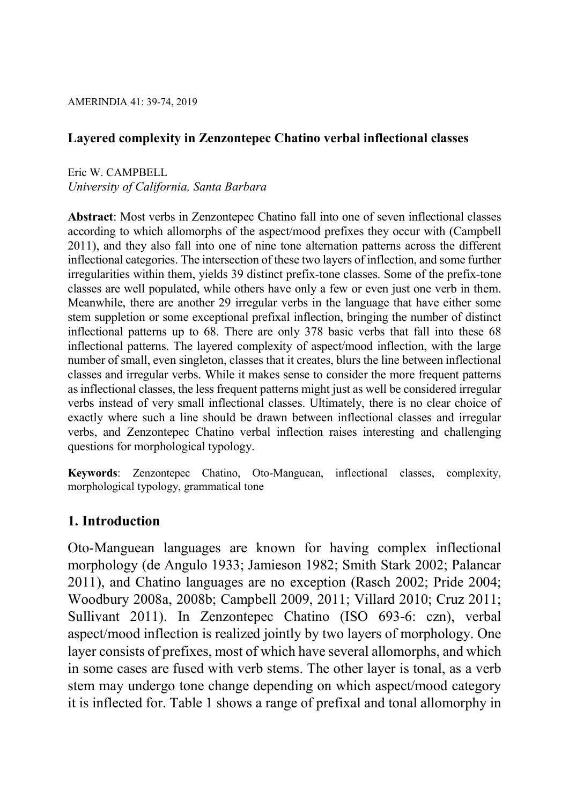# Layered complexity in Zenzontepec Chatino verbal inflectional classes

Eric W. CAMPBELL University of California, Santa Barbara

Abstract: Most verbs in Zenzontepec Chatino fall into one of seven inflectional classes according to which allomorphs of the aspect/mood prefixes they occur with (Campbell 2011), and they also fall into one of nine tone alternation patterns across the different inflectional categories. The intersection of these two layers of inflection, and some further irregularities within them, yields 39 distinct prefix-tone classes. Some of the prefix-tone classes are well populated, while others have only a few or even just one verb in them. Meanwhile, there are another 29 irregular verbs in the language that have either some stem suppletion or some exceptional prefixal inflection, bringing the number of distinct inflectional patterns up to 68. There are only 378 basic verbs that fall into these 68 inflectional patterns. The layered complexity of aspect/mood inflection, with the large number of small, even singleton, classes that it creates, blurs the line between inflectional classes and irregular verbs. While it makes sense to consider the more frequent patterns as inflectional classes, the less frequent patterns might just as well be considered irregular verbs instead of very small inflectional classes. Ultimately, there is no clear choice of exactly where such a line should be drawn between inflectional classes and irregular verbs, and Zenzontepec Chatino verbal inflection raises interesting and challenging questions for morphological typology.

Keywords: Zenzontepec Chatino, Oto-Manguean, inflectional classes, complexity, morphological typology, grammatical tone

# 1. Introduction

Oto-Manguean languages are known for having complex inflectional morphology (de Angulo 1933; Jamieson 1982; Smith Stark 2002; Palancar 2011), and Chatino languages are no exception (Rasch 2002; Pride 2004; Woodbury 2008a, 2008b; Campbell 2009, 2011; Villard 2010; Cruz 2011; Sullivant 2011). In Zenzontepec Chatino (ISO 693-6: czn), verbal aspect/mood inflection is realized jointly by two layers of morphology. One layer consists of prefixes, most of which have several allomorphs, and which in some cases are fused with verb stems. The other layer is tonal, as a verb stem may undergo tone change depending on which aspect/mood category it is inflected for. Table 1 shows a range of prefixal and tonal allomorphy in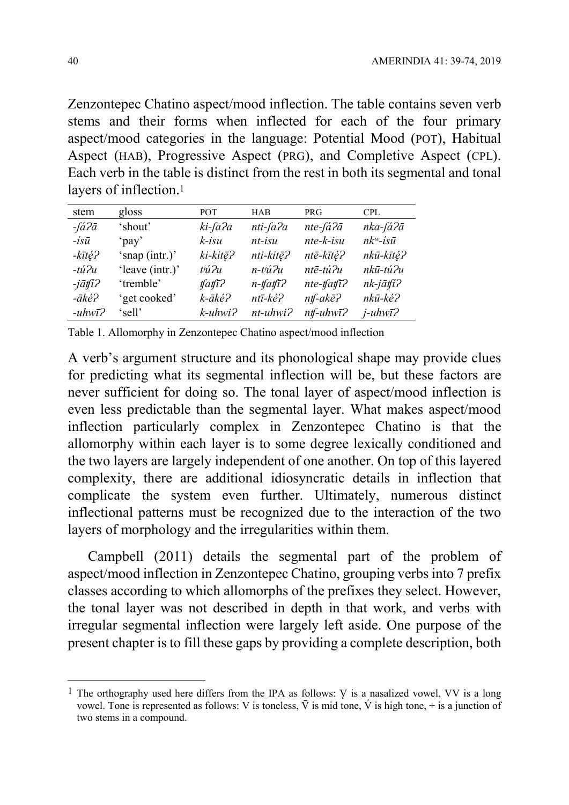Zenzontepec Chatino aspect/mood inflection. The table contains seven verb stems and their forms when inflected for each of the four primary aspect/mood categories in the language: Potential Mood (POT), Habitual Aspect (HAB), Progressive Aspect (PRG), and Completive Aspect (CPL). Each verb in the table is distinct from the rest in both its segmental and tonal layers of inflection.<sup>1</sup>

| stem                      | gloss           | POT.                | <b>HAB</b>                                  | <b>PRG</b>                        | <b>CPL</b>                      |
|---------------------------|-----------------|---------------------|---------------------------------------------|-----------------------------------|---------------------------------|
| $-i\dot{a}$ ? $\bar{a}$   | 'shout'         | ki-fa?a             | nti-fa?a                                    | nte-fá?ā                          | nka-fá?ā                        |
| $-i s \bar{u}$            | 'pay'           | $k$ -isu            | $nt-$ <i>isu</i>                            | $nte-k-isu$                       | $nk^w$ -isū                     |
| -kītę́?                   | 'snap (intr.)'  | ki-kitē?            | nti-kitē?                                   | ntē-kītę?                         | nkū-kītę?                       |
| $-tu^2u$                  | 'leave (intr.)' | thi <sub>2u</sub>   | $n$ - $t$ <sup><math>i</math></sup> $i$ $n$ | ntē-tú?u                          | nkū-tú?u                        |
| $-i\bar{a}$ tfi $\bar{c}$ | 'tremble'       | $\text{ifaff?}$     | $n$ -tfatf $\bar{i}$ ?                      | $nte$ -tfat $\overline{i}$ ?      | $nk$ -j $\bar{a}$ tfi $\bar{c}$ |
| $- \bar{a}k\acute{e}$ ?   | 'get cooked'    | k-āké?              | ntī-ké?                                     | $n\mathit{tf}\text{-}ak\bar{e}$ ? | nkū-ké?                         |
| $-uhw\bar{\iota}$ ?       | 'sell'          | $k$ -uhwi $\lambda$ | $nt$ -uhwi $P$                              | $nt \text{-} uhwi$ ?              | $j$ -uhw $\bar{i}$ ?            |

Table 1. Allomorphy in Zenzontepec Chatino aspect/mood inflection

A verb's argument structure and its phonological shape may provide clues for predicting what its segmental inflection will be, but these factors are never sufficient for doing so. The tonal layer of aspect/mood inflection is even less predictable than the segmental layer. What makes aspect/mood inflection particularly complex in Zenzontepec Chatino is that the allomorphy within each layer is to some degree lexically conditioned and the two layers are largely independent of one another. On top of this layered complexity, there are additional idiosyncratic details in inflection that complicate the system even further. Ultimately, numerous distinct inflectional patterns must be recognized due to the interaction of the two layers of morphology and the irregularities within them.

Campbell (2011) details the segmental part of the problem of aspect/mood inflection in Zenzontepec Chatino, grouping verbs into 7 prefix classes according to which allomorphs of the prefixes they select. However, the tonal layer was not described in depth in that work, and verbs with irregular segmental inflection were largely left aside. One purpose of the present chapter is to fill these gaps by providing a complete description, both

-

<sup>&</sup>lt;sup>1</sup> The orthography used here differs from the IPA as follows: V is a nasalized vowel, VV is a long vowel. Tone is represented as follows: V is toneless,  $\overline{V}$  is mid tone,  $\overline{V}$  is high tone, + is a junction of two stems in a compound.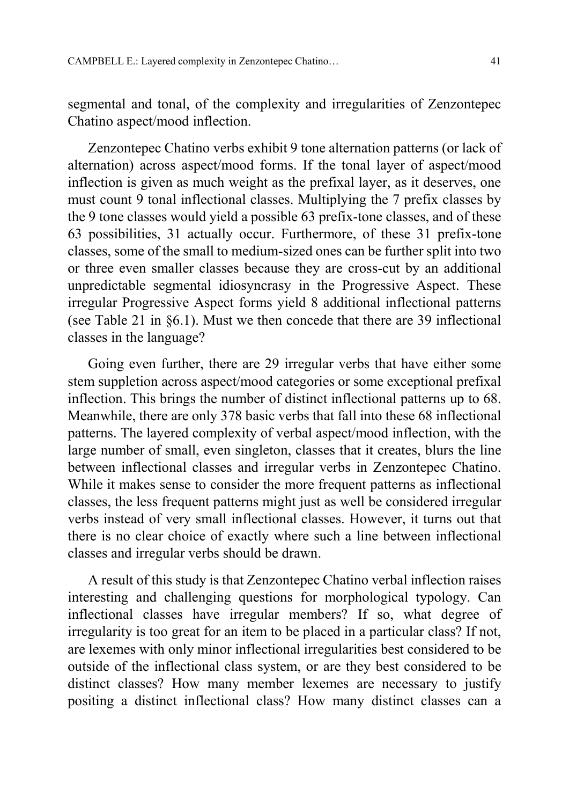segmental and tonal, of the complexity and irregularities of Zenzontepec Chatino aspect/mood inflection.

Zenzontepec Chatino verbs exhibit 9 tone alternation patterns (or lack of alternation) across aspect/mood forms. If the tonal layer of aspect/mood inflection is given as much weight as the prefixal layer, as it deserves, one must count 9 tonal inflectional classes. Multiplying the 7 prefix classes by the 9 tone classes would yield a possible 63 prefix-tone classes, and of these 63 possibilities, 31 actually occur. Furthermore, of these 31 prefix-tone classes, some of the small to medium-sized ones can be further split into two or three even smaller classes because they are cross-cut by an additional unpredictable segmental idiosyncrasy in the Progressive Aspect. These irregular Progressive Aspect forms yield 8 additional inflectional patterns (see Table 21 in §6.1). Must we then concede that there are 39 inflectional classes in the language?

Going even further, there are 29 irregular verbs that have either some stem suppletion across aspect/mood categories or some exceptional prefixal inflection. This brings the number of distinct inflectional patterns up to 68. Meanwhile, there are only 378 basic verbs that fall into these 68 inflectional patterns. The layered complexity of verbal aspect/mood inflection, with the large number of small, even singleton, classes that it creates, blurs the line between inflectional classes and irregular verbs in Zenzontepec Chatino. While it makes sense to consider the more frequent patterns as inflectional classes, the less frequent patterns might just as well be considered irregular verbs instead of very small inflectional classes. However, it turns out that there is no clear choice of exactly where such a line between inflectional classes and irregular verbs should be drawn.

A result of this study is that Zenzontepec Chatino verbal inflection raises interesting and challenging questions for morphological typology. Can inflectional classes have irregular members? If so, what degree of irregularity is too great for an item to be placed in a particular class? If not, are lexemes with only minor inflectional irregularities best considered to be outside of the inflectional class system, or are they best considered to be distinct classes? How many member lexemes are necessary to justify positing a distinct inflectional class? How many distinct classes can a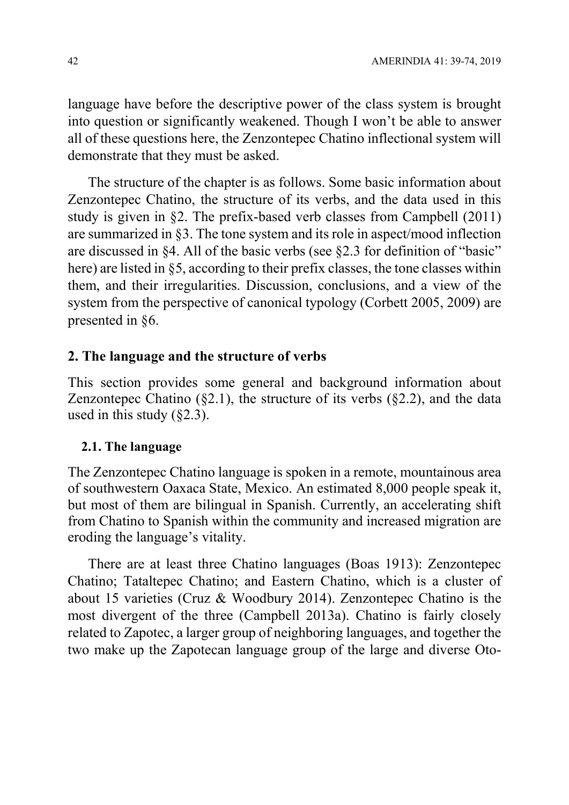language have before the descriptive power of the class system is brought into question or significantly weakened. Though I won't be able to answer all of these questions here, the Zenzontepec Chatino inflectional system will demonstrate that they must be asked.

The structure of the chapter is as follows. Some basic information about Zenzontepec Chatino, the structure of its verbs, and the data used in this study is given in §2. The prefix-based verb classes from Campbell (2011) are summarized in §3. The tone system and its role in aspect/mood inflection are discussed in §4. All of the basic verbs (see §2.3 for definition of "basic" here) are listed in §5, according to their prefix classes, the tone classes within them, and their irregularities. Discussion, conclusions, and a view of the system from the perspective of canonical typology (Corbett 2005, 2009) are presented in §6.

# 2. The language and the structure of verbs

This section provides some general and background information about Zenzontepec Chatino  $(\S2.1)$ , the structure of its verbs  $(\S2.2)$ , and the data used in this study  $(82.3)$ .

## 2.1. The language

The Zenzontepec Chatino language is spoken in a remote, mountainous area of southwestern Oaxaca State, Mexico. An estimated 8,000 people speak it, but most of them are bilingual in Spanish. Currently, an accelerating shift from Chatino to Spanish within the community and increased migration are eroding the language's vitality.

There are at least three Chatino languages (Boas 1913): Zenzontepec Chatino; Tataltepec Chatino; and Eastern Chatino, which is a cluster of about 15 varieties (Cruz & Woodbury 2014). Zenzontepec Chatino is the most divergent of the three (Campbell 2013a). Chatino is fairly closely related to Zapotec, a larger group of neighboring languages, and together the two make up the Zapotecan language group of the large and diverse Oto-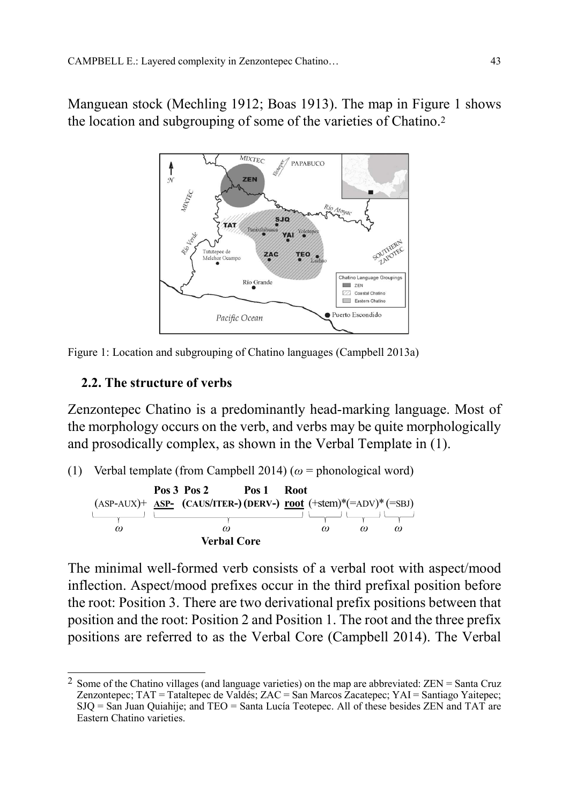Manguean stock (Mechling 1912; Boas 1913). The map in Figure 1 shows the location and subgrouping of some of the varieties of Chatino.<sup>2</sup>





# 2.2. The structure of verbs

Zenzontepec Chatino is a predominantly head-marking language. Most of the morphology occurs on the verb, and verbs may be quite morphologically and prosodically complex, as shown in the Verbal Template in (1).

(1) Verbal template (from Campbell 2014) ( $\omega$  = phonological word)



The minimal well-formed verb consists of a verbal root with aspect/mood inflection. Aspect/mood prefixes occur in the third prefixal position before the root: Position 3. There are two derivational prefix positions between that position and the root: Position 2 and Position 1. The root and the three prefix positions are referred to as the Verbal Core (Campbell 2014). The Verbal

 $\overline{a}$ <sup>2</sup> Some of the Chatino villages (and language varieties) on the map are abbreviated:  $ZEN = Santa Cruz$ Zenzontepec; TAT = Tataltepec de Valdés; ZAC = San Marcos Zacatepec; YAI = Santiago Yaitepec; SJQ = San Juan Quiahije; and TEO = Santa Lucía Teotepec. All of these besides ZEN and TAT are Eastern Chatino varieties.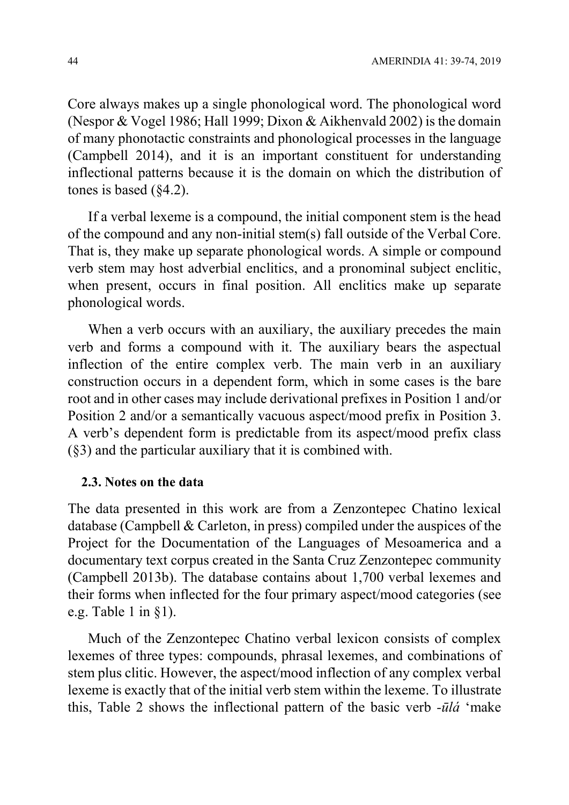Core always makes up a single phonological word. The phonological word (Nespor & Vogel 1986; Hall 1999; Dixon & Aikhenvald 2002) is the domain of many phonotactic constraints and phonological processes in the language (Campbell 2014), and it is an important constituent for understanding inflectional patterns because it is the domain on which the distribution of tones is based (§4.2).

If a verbal lexeme is a compound, the initial component stem is the head of the compound and any non-initial stem(s) fall outside of the Verbal Core. That is, they make up separate phonological words. A simple or compound verb stem may host adverbial enclitics, and a pronominal subject enclitic, when present, occurs in final position. All enclitics make up separate phonological words.

When a verb occurs with an auxiliary, the auxiliary precedes the main verb and forms a compound with it. The auxiliary bears the aspectual inflection of the entire complex verb. The main verb in an auxiliary construction occurs in a dependent form, which in some cases is the bare root and in other cases may include derivational prefixes in Position 1 and/or Position 2 and/or a semantically vacuous aspect/mood prefix in Position 3. A verb's dependent form is predictable from its aspect/mood prefix class (§3) and the particular auxiliary that it is combined with.

#### 2.3. Notes on the data

The data presented in this work are from a Zenzontepec Chatino lexical database (Campbell & Carleton, in press) compiled under the auspices of the Project for the Documentation of the Languages of Mesoamerica and a documentary text corpus created in the Santa Cruz Zenzontepec community (Campbell 2013b). The database contains about 1,700 verbal lexemes and their forms when inflected for the four primary aspect/mood categories (see e.g. Table 1 in  $\S$ 1).

Much of the Zenzontepec Chatino verbal lexicon consists of complex lexemes of three types: compounds, phrasal lexemes, and combinations of stem plus clitic. However, the aspect/mood inflection of any complex verbal lexeme is exactly that of the initial verb stem within the lexeme. To illustrate this, Table 2 shows the inflectional pattern of the basic verb  $-\bar{u}l\dot{a}$  'make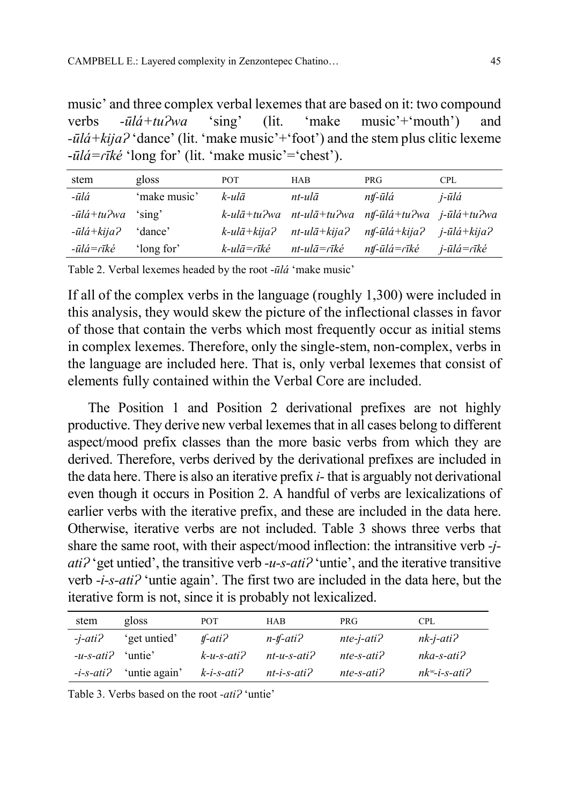music' and three complex verbal lexemes that are based on it: two compound verbs  $-i\bar{l}d+tu^2wa$  'sing' (lit. 'make music'<sup>+</sup>'mouth') and  $-i\bar{u}/\dot{a}$  +  $k$ ija $\hat{a}$  'dance' (lit. 'make music' + 'foot') and the stem plus clitic lexeme  $-i\bar{u}l\dot{\alpha} = r\bar{i}k\dot{\epsilon}$  'long for' (lit. 'make music'='chest').

| stem                          | gloss        | <b>POT</b>                          | <b>HAB</b>                        | <b>PRG</b>                            | <b>CPL</b>     |
|-------------------------------|--------------|-------------------------------------|-----------------------------------|---------------------------------------|----------------|
| -ūlá                          | 'make music' | k-ulā                               | $nt$ -ulā                         | ntf-ūlá                               | j-ūlá          |
| $-\bar{u}l\dot{a}$ +tu $P$ wa | 'sing'       | $k$ -ul $\bar{a}$ +tu $\partial$ wa | nt-ulā+tu?wa                      | ntf-ūlá+tu?wa j-ūlá+tu?wa             |                |
| $-i\bar{u}l\dot{a}+kija$ ?    | 'dance'      | $k$ -ulā+kija?                      | $nt$ -ul $\bar{a}$ +kija?         | $n\mathit{tf}$ -ūlá+kija $\mathit{f}$ | $i$ -ūlá+kija? |
| -ūlá=rīké                     | 'long for'   | k-ulā=rīké                          | $nt$ -ul $\bar{a}$ = $\bar{nk}$ é | $n$ tf-ūlá= $r$ īké                   | j-ūlá=rīké     |

Table 2. Verbal lexemes headed by the root -ūlá 'make music'

If all of the complex verbs in the language (roughly 1,300) were included in this analysis, they would skew the picture of the inflectional classes in favor of those that contain the verbs which most frequently occur as initial stems in complex lexemes. Therefore, only the single-stem, non-complex, verbs in the language are included here. That is, only verbal lexemes that consist of elements fully contained within the Verbal Core are included.

The Position 1 and Position 2 derivational prefixes are not highly productive. They derive new verbal lexemes that in all cases belong to different aspect/mood prefix classes than the more basic verbs from which they are derived. Therefore, verbs derived by the derivational prefixes are included in the data here. There is also an iterative prefix i- that is arguably not derivational even though it occurs in Position 2. A handful of verbs are lexicalizations of earlier verbs with the iterative prefix, and these are included in the data here. Otherwise, iterative verbs are not included. Table 3 shows three verbs that share the same root, with their aspect/mood inflection: the intransitive verb -j $ati^2$  'get untied', the transitive verb -u-s-ati? 'untie', and the iterative transitive verb -*i-s-ati?* 'untie again'. The first two are included in the data here, but the iterative form is not, since it is probably not lexicalized.

| stem                | gloss         | <b>POT</b>    | <b>HAB</b>     | <b>PRG</b>            | CPL                    |
|---------------------|---------------|---------------|----------------|-----------------------|------------------------|
| $-i$ -ati $\lambda$ | 'get untied'  | $t$ -ati $t$  | $n$ -tf-ati?   | $nte$ -j-ati $\gamma$ | $nk$ -j-ati $\lambda$  |
| $-u$ -s-ati?        | 'untie'       | $k$ -u-s-ati? | $nt-u-s-ati'$  | $nte$ -s-ati $\Omega$ | $nka$ -s-ati $\lambda$ |
| $-i$ -s-ati?        | 'untie again' | $k-i$ -s-ati? | $nt-i-s-ati$ ? | $nte-s-ati$ ?         | $nk^w$ -i-s-ati?       |

Table 3. Verbs based on the root -ati? 'untie'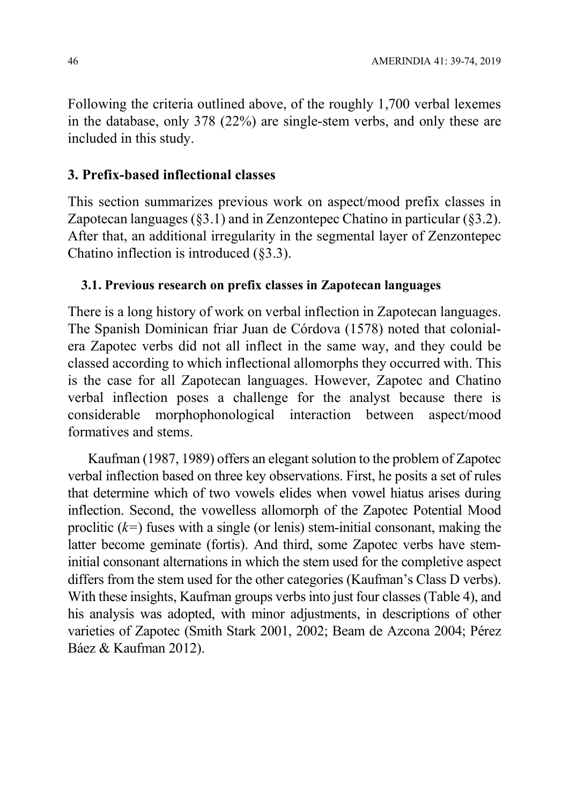Following the criteria outlined above, of the roughly 1,700 verbal lexemes in the database, only 378 (22%) are single-stem verbs, and only these are included in this study.

# 3. Prefix-based inflectional classes

This section summarizes previous work on aspect/mood prefix classes in Zapotecan languages (§3.1) and in Zenzontepec Chatino in particular (§3.2). After that, an additional irregularity in the segmental layer of Zenzontepec Chatino inflection is introduced (§3.3).

## 3.1. Previous research on prefix classes in Zapotecan languages

There is a long history of work on verbal inflection in Zapotecan languages. The Spanish Dominican friar Juan de Córdova (1578) noted that colonialera Zapotec verbs did not all inflect in the same way, and they could be classed according to which inflectional allomorphs they occurred with. This is the case for all Zapotecan languages. However, Zapotec and Chatino verbal inflection poses a challenge for the analyst because there is considerable morphophonological interaction between aspect/mood formatives and stems.

Kaufman (1987, 1989) offers an elegant solution to the problem of Zapotec verbal inflection based on three key observations. First, he posits a set of rules that determine which of two vowels elides when vowel hiatus arises during inflection. Second, the vowelless allomorph of the Zapotec Potential Mood proclitic  $(k=)$  fuses with a single (or lenis) stem-initial consonant, making the latter become geminate (fortis). And third, some Zapotec verbs have steminitial consonant alternations in which the stem used for the completive aspect differs from the stem used for the other categories (Kaufman's Class D verbs). With these insights, Kaufman groups verbs into just four classes (Table 4), and his analysis was adopted, with minor adjustments, in descriptions of other varieties of Zapotec (Smith Stark 2001, 2002; Beam de Azcona 2004; Pérez Báez & Kaufman 2012).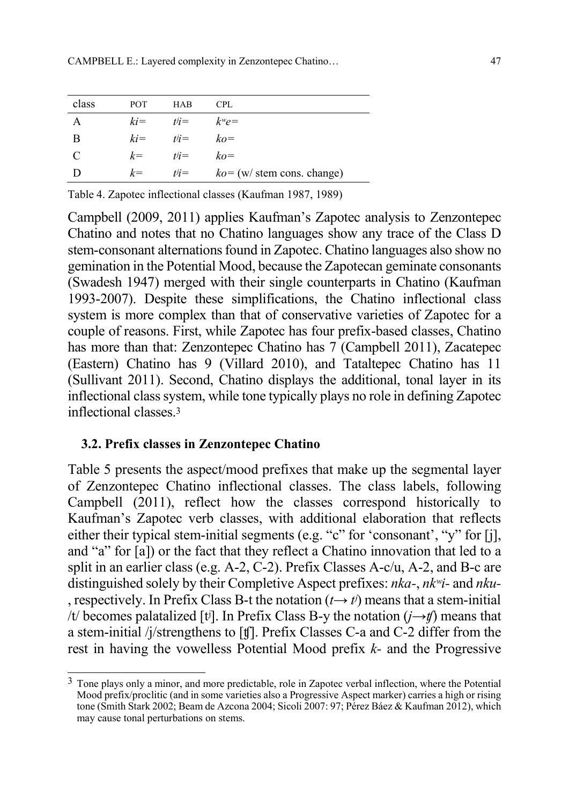| class | <b>POT</b> | <b>HAB</b>     | <b>CPL</b>                            |
|-------|------------|----------------|---------------------------------------|
| A     |            | $ki =$ $tij =$ | $k^w e =$                             |
| B     |            | $ki =$ $tij =$ | $ko =$                                |
| C     | $k=$       | $t^j =$        | $k\rho =$                             |
|       | $k=$       | t'i            | $ko = (w / \text{stem cons. change})$ |

Table 4. Zapotec inflectional classes (Kaufman 1987, 1989)

Campbell (2009, 2011) applies Kaufman's Zapotec analysis to Zenzontepec Chatino and notes that no Chatino languages show any trace of the Class D stem-consonant alternations found in Zapotec. Chatino languages also show no gemination in the Potential Mood, because the Zapotecan geminate consonants (Swadesh 1947) merged with their single counterparts in Chatino (Kaufman 1993-2007). Despite these simplifications, the Chatino inflectional class system is more complex than that of conservative varieties of Zapotec for a couple of reasons. First, while Zapotec has four prefix-based classes, Chatino has more than that: Zenzontepec Chatino has 7 (Campbell 2011), Zacatepec (Eastern) Chatino has 9 (Villard 2010), and Tataltepec Chatino has 11 (Sullivant 2011). Second, Chatino displays the additional, tonal layer in its inflectional class system, while tone typically plays no role in defining Zapotec inflectional classes.<sup>3</sup>

#### 3.2. Prefix classes in Zenzontepec Chatino

 $\overline{a}$ 

Table 5 presents the aspect/mood prefixes that make up the segmental layer of Zenzontepec Chatino inflectional classes. The class labels, following Campbell (2011), reflect how the classes correspond historically to Kaufman's Zapotec verb classes, with additional elaboration that reflects either their typical stem-initial segments (e.g. "c" for 'consonant', "y" for [j], and "a" for [a]) or the fact that they reflect a Chatino innovation that led to a split in an earlier class (e.g. A-2, C-2). Prefix Classes A-c/u, A-2, and B-c are distinguished solely by their Completive Aspect prefixes: nka-, nkʷi- and nku- , respectively. In Prefix Class B-t the notation  $(t \rightarrow t')$  means that a stem-initial /t/ becomes palatalized [tʲ]. In Prefix Class B-y the notation  $(i \rightarrow \#)$  means that a stem-initial /j/strengthens to [ʧ]. Prefix Classes C-a and C-2 differ from the rest in having the vowelless Potential Mood prefix k- and the Progressive

<sup>3</sup> Tone plays only a minor, and more predictable, role in Zapotec verbal inflection, where the Potential Mood prefix/proclitic (and in some varieties also a Progressive Aspect marker) carries a high or rising tone (Smith Stark 2002; Beam de Azcona 2004; Sicoli 2007: 97; Pérez Báez & Kaufman 2012), which may cause tonal perturbations on stems.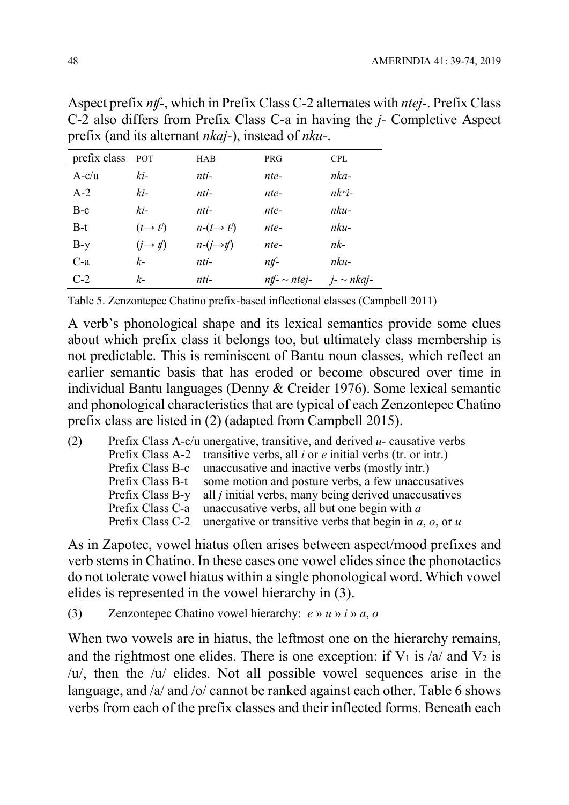| prefix class | <b>POT</b>                    | <b>HAB</b>             | <b>PRG</b>           | <b>CPL</b>         |
|--------------|-------------------------------|------------------------|----------------------|--------------------|
| $A-c/u$      | ki-                           | nti-                   | nte-                 | nka-               |
| $A-2$        | ki-                           | nti-                   | nte-                 | $nk^w$ i-          |
| $B-c$        | ki-                           | nti-                   | nte-                 | nku-               |
| $B-t$        | $(t \rightarrow t^j)$         | $n-(t\rightarrow t^j)$ | nte-                 | nku-               |
| $B-y$        | $(j \rightarrow \mathit{tf})$ | $n-(i \rightarrow t)$  | nte-                 | nk-                |
| $C-a$        | $k-$                          | nti-                   | $n$ t $\mathbf{f}$ - | nku-               |
| $C-2$        | k-                            | nti-                   | $ntf - ntej$         | $i$ - $\sim$ nkaj- |

Aspect prefix nʧ-, which in Prefix Class C-2 alternates with ntej-. Prefix Class C-2 also differs from Prefix Class C-a in having the j- Completive Aspect prefix (and its alternant nkaj-), instead of nku-.

Table 5. Zenzontepec Chatino prefix-based inflectional classes (Campbell 2011)

A verb's phonological shape and its lexical semantics provide some clues about which prefix class it belongs too, but ultimately class membership is not predictable. This is reminiscent of Bantu noun classes, which reflect an earlier semantic basis that has eroded or become obscured over time in individual Bantu languages (Denny & Creider 1976). Some lexical semantic and phonological characteristics that are typical of each Zenzontepec Chatino prefix class are listed in (2) (adapted from Campbell 2015).

| Prefix Class A-c/u unergative, transitive, and derived $u$ - causative verbs   |
|--------------------------------------------------------------------------------|
| Prefix Class A-2 transitive verbs, all $i$ or $e$ initial verbs (tr. or intr.) |
| Prefix Class B-c unaccusative and inactive verbs (mostly intr.)                |
| Prefix Class B-t some motion and posture verbs, a few unaccusatives            |
| Prefix Class B-y all <i>j</i> initial verbs, many being derived unaccusatives  |
| Prefix Class C-a unaccusative verbs, all but one begin with a                  |
| Prefix Class C-2 unergative or transitive verbs that begin in $a, o$ , or u    |
|                                                                                |

As in Zapotec, vowel hiatus often arises between aspect/mood prefixes and verb stems in Chatino. In these cases one vowel elides since the phonotactics do not tolerate vowel hiatus within a single phonological word. Which vowel elides is represented in the vowel hierarchy in (3).

(3) Zenzontepec Chatino vowel hierarchy:  $e \wedge u \wedge i \wedge a$ , o

When two vowels are in hiatus, the leftmost one on the hierarchy remains, and the rightmost one elides. There is one exception: if  $V_1$  is /a/ and  $V_2$  is /u/, then the /u/ elides. Not all possible vowel sequences arise in the language, and /a/ and /o/ cannot be ranked against each other. Table 6 shows verbs from each of the prefix classes and their inflected forms. Beneath each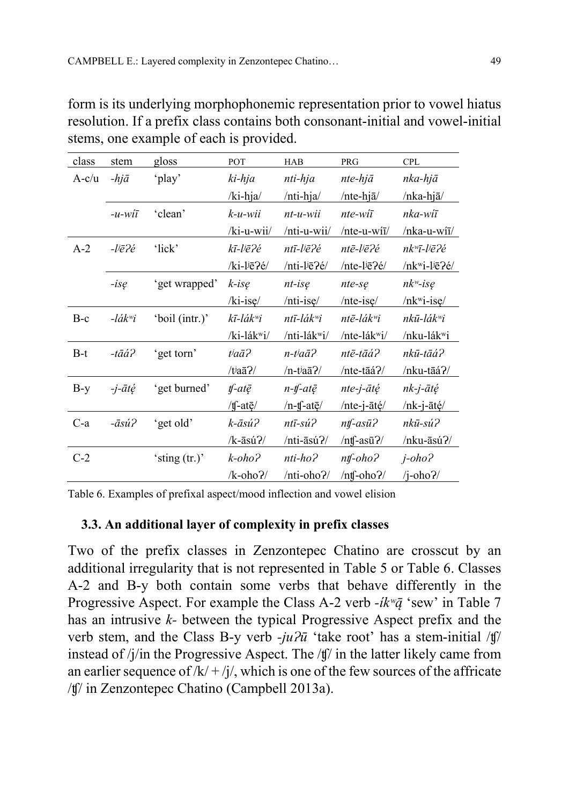| class   | stem                            | gloss           | POT                          | HAB                       | <b>PRG</b>                     | <b>CPL</b>                                     |
|---------|---------------------------------|-----------------|------------------------------|---------------------------|--------------------------------|------------------------------------------------|
| $A-c/u$ | $-hj\bar{a}$                    | 'play'          | ki-hja                       | nti-hja                   | nte-hjā                        | nka-hjā                                        |
|         |                                 |                 | $/$ ki-hja $/$               | /nti-hja/                 | /nte-hjā/                      | /nka-hjā/                                      |
|         | $-u$ -wiī                       | 'clean'         | $k$ -u-wii                   | $nt-u-wii$                | nte-wiī                        | nka-wiī                                        |
|         |                                 |                 | /ki-u-wii/                   | /nti-u-wii/               | /nte-u-wi $\bar{i}$ /          | /nka-u-wiī/                                    |
| $A-2$   | $-l$ iē $2e$                    | 'lick'          | kī-l <sup>j</sup> ē?é        | ntī-l <sup>j</sup> ē?é    | ntē-l <sup>j</sup> ē?é         | $nk^{\omega} \bar{\iota}$ -liē $\bar{\iota}$ é |
|         |                                 |                 | /ki-lie?é/                   | /nti-lje?é/               | /nte-l $i\bar{e}$ ?é/          | /nkwi-ljē?é/                                   |
|         | $-is\,$                         | 'get wrapped'   | $k$ -isę                     | $nt$ -isę                 | $nte-s$ e                      | $nk^w$ -isę                                    |
|         |                                 |                 | $/ki-ise/$                   | $/nti-ise/$               | $/$ nte-ise $/$                | $/nk$ <sup>w</sup> i-ise/                      |
| $B-c$   | $-l \acute{a} k$ <sup>w</sup> i | 'boil (intr.)'  | kī-lák <sup>w</sup> i        | ntī-lákʷi                 | $nt\bar{e}$ -lák $\ddot{w}i$   | nkū-lák <sup>w</sup> i                         |
|         |                                 |                 | /ki-lák <sup>w</sup> i/      | /nti-lák <sup>w</sup> i/  | /nte-lákwi/                    | /nku-lák <sup>w</sup> i                        |
| $B-t$   | $-t\bar{a}\acute{a}$ ?          | 'get torn'      | $t/a\bar{a}$ ?               | n-t <sup>j</sup> aā?      | ntē-tāá?                       | nkū-tāá?                                       |
|         |                                 |                 | $/ti$ aa $7/$                | $/n$ -t $a\bar{a}$ ?/     | /nte-tāá?/                     | /nku-tāá?/                                     |
| $B-y$   | $-i$ - $\bar{a}t\acute{e}$      | 'get burned'    | $\n  tf - at \overline{e}\n$ | $n$ -tf-at $\bar{e}$      | $nte$ -j- $\bar{a}t\acute{e}$  | nk-j-ātę́                                      |
|         |                                 |                 | /tf-ate/                     | $/n$ -tf-at $\bar{e}$     | /nte-j-ātę/                    | /nk-j-ātę/                                     |
| $C-a$   | $-\bar{a}s\acute{u}$ ?          | 'get old'       | k-āsú?                       | $nt\bar{i}$ -sú $\hat{i}$ | $n\mathit{tf}$ - $as\bar{u}$ ? | nkū-sú?                                        |
|         |                                 |                 | $/k$ -āsú?/                  | /nti-āsú?/                | $/$ ntf-asū $2/$               | /nku-āsú?/                                     |
| $C-2$   |                                 | 'sting $(tr.)'$ | $k$ -oho $\lambda$           | nti-ho?                   | $n\mathit{tf}$ - $oho$ ?       | $j$ -oho $i$                                   |
|         |                                 |                 | $/k-oho$ ?/                  | /nti-oho?/                | $/nt$ -oho?/                   | $/j-oho?$                                      |

form is its underlying morphophonemic representation prior to vowel hiatus resolution. If a prefix class contains both consonant-initial and vowel-initial stems, one example of each is provided.

Table 6. Examples of prefixal aspect/mood inflection and vowel elision

#### 3.3. An additional layer of complexity in prefix classes

Two of the prefix classes in Zenzontepec Chatino are crosscut by an additional irregularity that is not represented in Table 5 or Table 6. Classes A-2 and B-y both contain some verbs that behave differently in the Progressive Aspect. For example the Class A-2 verb  $-i k^{\nu} \bar{q}$  'sew' in Table 7 has an intrusive k- between the typical Progressive Aspect prefix and the verb stem, and the Class B-y verb  $-i\mu\partial\bar{u}$  'take root' has a stem-initial /t] instead of /j/in the Progressive Aspect. The /ʧ/ in the latter likely came from an earlier sequence of  $/k/ + i/$ , which is one of the few sources of the affricate /ʧ/ in Zenzontepec Chatino (Campbell 2013a).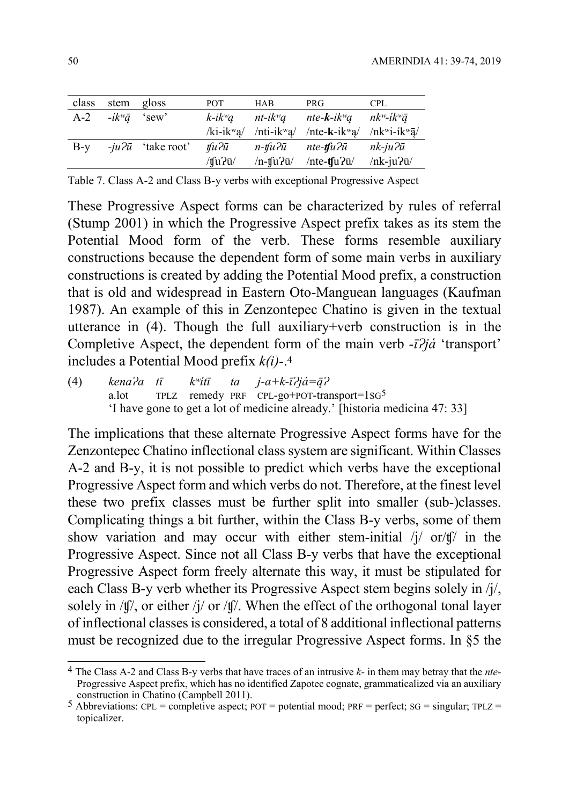| class | stem gloss             |                            | POT.                   | <b>HAB</b>                 | PRG.                                                                                                           | <b>CPL</b>           |
|-------|------------------------|----------------------------|------------------------|----------------------------|----------------------------------------------------------------------------------------------------------------|----------------------|
| $A-2$ | $-i k^w \bar{q}$ 'sew' |                            | $k$ -ik <sup>w</sup> a | $nt$ -i $k$ <sup>w</sup> a | nte-k-ik <sup>w</sup> a nk <sup>w</sup> -ik <sup>w</sup> ā                                                     |                      |
|       |                        |                            |                        |                            | /ki-ik <sup>w</sup> a/ /nti-ik <sup>w</sup> a/ /nte-k-ik <sup>w</sup> a/ /nk <sup>w</sup> i-ik <sup>w</sup> a/ |                      |
| $B-y$ |                        | $-iu^2\bar{u}$ 'take root' | tfu?ū                  | n-tfu?ū                    | nte <b>-tf</b> u?ū                                                                                             | nk-ju?ū              |
|       |                        |                            | $/t \frac{1}{2}$       | $/n$ -tfu?ū/               | /nte-tsu $\eta$ u $\eta$                                                                                       | $/nk$ -ju $2\bar{u}$ |

Table 7. Class A-2 and Class B-y verbs with exceptional Progressive Aspect

These Progressive Aspect forms can be characterized by rules of referral (Stump 2001) in which the Progressive Aspect prefix takes as its stem the Potential Mood form of the verb. These forms resemble auxiliary constructions because the dependent form of some main verbs in auxiliary constructions is created by adding the Potential Mood prefix, a construction that is old and widespread in Eastern Oto-Manguean languages (Kaufman 1987). An example of this in Zenzontepec Chatino is given in the textual utterance in (4). Though the full auxiliary+verb construction is in the Completive Aspect, the dependent form of the main verb  $-i\partial j\acute{a}$  'transport' includes a Potential Mood prefix  $k(i)$ -.<sup>4</sup>

(4) kena $2a$  tī k<sup>w</sup>itī ta j-a+k-ī $2i$ já= $\bar{a}$ ? a.lot TPLZ remedy PRF CPL-go+POT-transport=1SG5 'I have gone to get a lot of medicine already.' [historia medicina 47: 33]

The implications that these alternate Progressive Aspect forms have for the Zenzontepec Chatino inflectional class system are significant. Within Classes A-2 and B-y, it is not possible to predict which verbs have the exceptional Progressive Aspect form and which verbs do not. Therefore, at the finest level these two prefix classes must be further split into smaller (sub-)classes. Complicating things a bit further, within the Class B-y verbs, some of them show variation and may occur with either stem-initial /j/ or/t]/ in the Progressive Aspect. Since not all Class B-y verbs that have the exceptional Progressive Aspect form freely alternate this way, it must be stipulated for each Class B-y verb whether its Progressive Aspect stem begins solely in /j/, solely in /t]', or either /j/ or /t]'. When the effect of the orthogonal tonal layer of inflectional classes is considered, a total of 8 additional inflectional patterns must be recognized due to the irregular Progressive Aspect forms. In §5 the

 $\overline{a}$ 

 $4$  The Class A-2 and Class B-y verbs that have traces of an intrusive k- in them may betray that the *nte*-Progressive Aspect prefix, which has no identified Zapotec cognate, grammaticalized via an auxiliary construction in Chatino (Campbell 2011).

<sup>5</sup> Abbreviations: CPL = completive aspect;  $POT =$  potential mood;  $PRF =$  perfect;  $SG =$  singular;  $TPLZ =$ topicalizer.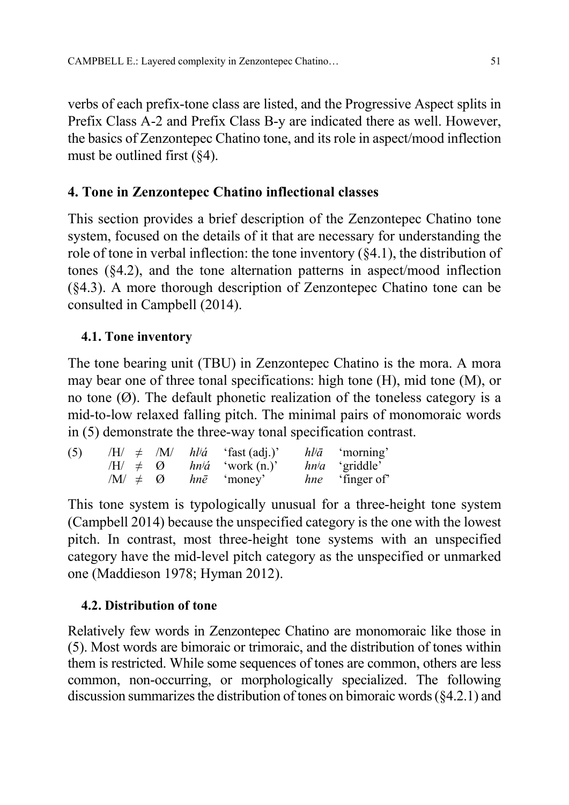verbs of each prefix-tone class are listed, and the Progressive Aspect splits in Prefix Class A-2 and Prefix Class B-y are indicated there as well. However, the basics of Zenzontepec Chatino tone, and its role in aspect/mood inflection must be outlined first  $(\S 4)$ .

# 4. Tone in Zenzontepec Chatino inflectional classes

This section provides a brief description of the Zenzontepec Chatino tone system, focused on the details of it that are necessary for understanding the role of tone in verbal inflection: the tone inventory (§4.1), the distribution of tones (§4.2), and the tone alternation patterns in aspect/mood inflection (§4.3). A more thorough description of Zenzontepec Chatino tone can be consulted in Campbell (2014).

# 4.1. Tone inventory

The tone bearing unit (TBU) in Zenzontepec Chatino is the mora. A mora may bear one of three tonal specifications: high tone (H), mid tone (M), or no tone  $(\emptyset)$ . The default phonetic realization of the toneless category is a mid-to-low relaxed falling pitch. The minimal pairs of monomoraic words in (5) demonstrate the three-way tonal specification contrast.

| (5) |                             |                     | $/H/\neq$ /M/ $h\ddot{\theta}$ 'fast (adj.)' | $h\bar{v}\bar{a}$ 'morning' |
|-----|-----------------------------|---------------------|----------------------------------------------|-----------------------------|
|     |                             | $/H \neq \emptyset$ | $hn\ddot{\alpha}$ 'work (n.)'                | $hn/a$ 'griddle'            |
|     | $\mathcal{M}/\neq\emptyset$ |                     | <i>hnē</i> 'money'                           | <i>hne</i> 'finger of'      |

This tone system is typologically unusual for a three-height tone system (Campbell 2014) because the unspecified category is the one with the lowest pitch. In contrast, most three-height tone systems with an unspecified category have the mid-level pitch category as the unspecified or unmarked one (Maddieson 1978; Hyman 2012).

# 4.2. Distribution of tone

Relatively few words in Zenzontepec Chatino are monomoraic like those in (5). Most words are bimoraic or trimoraic, and the distribution of tones within them is restricted. While some sequences of tones are common, others are less common, non-occurring, or morphologically specialized. The following discussion summarizes the distribution of tones on bimoraic words (§4.2.1) and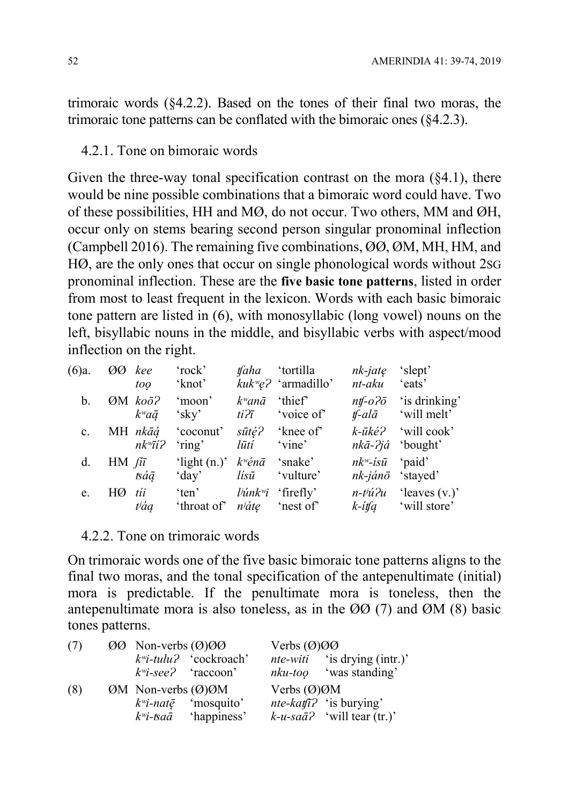trimoraic words (§4.2.2). Based on the tones of their final two moras, the trimoraic tone patterns can be conflated with the bimoraic ones (§4.2.3).

### 4.2.1. Tone on bimoraic words

Given the three-way tonal specification contrast on the mora  $(\S 4.1)$ , there would be nine possible combinations that a bimoraic word could have. Two of these possibilities, HH and MØ, do not occur. Two others, MM and ØH, occur only on stems bearing second person singular pronominal inflection (Campbell 2016). The remaining five combinations, ØØ, ØM, MH, HM, and HØ, are the only ones that occur on single phonological words without 2SG pronominal inflection. These are the five basic tone patterns, listed in order from most to least frequent in the lexicon. Words with each basic bimoraic tone pattern are listed in (6), with monosyllabic (long vowel) nouns on the left, bisyllabic nouns in the middle, and bisyllabic verbs with aspect/mood inflection on the right.

| (6)a.       | ØØ                  | kee<br>too                                                   | 'rock'<br>'knot'                            |                                        | <i>tfaha</i> 'tortilla<br>$kukw\llap{/}\epsilon$ ? 'armadillo' | nk-jatę<br>nt-aku                                                | 'slept'<br>'eats'                                                     |
|-------------|---------------------|--------------------------------------------------------------|---------------------------------------------|----------------------------------------|----------------------------------------------------------------|------------------------------------------------------------------|-----------------------------------------------------------------------|
| b.          |                     | $\varnothing$ M ko $\bar{o}$ ?<br>$k^{\omega}a\bar{a}$ 'sky' | 'moon'                                      | $k^w$ anā<br>$ti2\bar{t}$              | 'thief'<br>'voice of'                                          |                                                                  | $n\mathit{tf}-o2\bar{o}$ 'is drinking'<br>$t - al\bar{a}$ 'will melt' |
| $c_{\cdot}$ |                     | MH nkāģ<br>$nk^{\omega}$ ī <i>i</i> ?                        | 'coconut'<br>'ring'                         | $s\bar{u}t\acute{e}$ ?<br>lūtí         | 'knee of<br>'vine'                                             | k-ūké?<br>$nk\bar{a}$ -?já 'bought'                              | 'will cook'                                                           |
| $d_{\cdot}$ | $HM$ $\ell \bar{i}$ | tsáā                                                         | 'light $(n.)'$<br>'day'                     | $k^w\acute{e}n\bar{a}$ 'snake'<br>lísū | 'vulture'                                                      | $nk^w$ - <i>isū</i> 'paid'<br>$nk$ -ján $\bar{o}$ 'stayed'       |                                                                       |
| e.          | $H\varnothing$      | tíi<br><i>váa</i>                                            | 'ten'<br>'throat of' <i>n'ate</i> 'nest of' |                                        | $\psi$ <i>ink<sup>w</sup>i</i> 'firefly'                       | $n$ - $t$ <sup><math>\dot{u}</math><math>\partial u</math></sup> | 'leaves $(v.)'$<br>$k\text{-}t$ if $q$ will store'                    |

### 4.2.2. Tone on trimoraic words

On trimoraic words one of the five basic bimoraic tone patterns aligns to the final two moras, and the tonal specification of the antepenultimate (initial) mora is predictable. If the penultimate mora is toneless, then the antepenultimate mora is also toneless, as in the ØØ (7) and ØM (8) basic tones patterns.

| (7) |  | $\varnothing\varnothing$ Non-verbs $(\varnothing)\varnothing\varnothing$ |                                            | Verbs $(\emptyset) \emptyset \emptyset$ |                                         |  |
|-----|--|--------------------------------------------------------------------------|--------------------------------------------|-----------------------------------------|-----------------------------------------|--|
|     |  |                                                                          | $k^{\text{w}}$ <i>i</i> -tulu? 'cockroach' |                                         | <i>nte-witi</i> 'is drying (intr.)'     |  |
|     |  |                                                                          | $k^{\text{w}}$ <i>i</i> -see? 'raccoon'    |                                         | $nku$ -too 'was standing'               |  |
| (8) |  | $OM$ Non-verbs $(\emptyset)$ $\emptyset$ M                               |                                            | Verbs $(\emptyset)$ $\emptyset$ M       |                                         |  |
|     |  | $k^w$ i-natē                                                             | 'mosquito'                                 |                                         | <i>nte-kat</i> $\hat{i}$ ? 'is burying' |  |
|     |  | kʷi-ѣaā                                                                  | 'happiness'                                |                                         | $k$ -u-sa $\bar{a}$ ? 'will tear (tr.)' |  |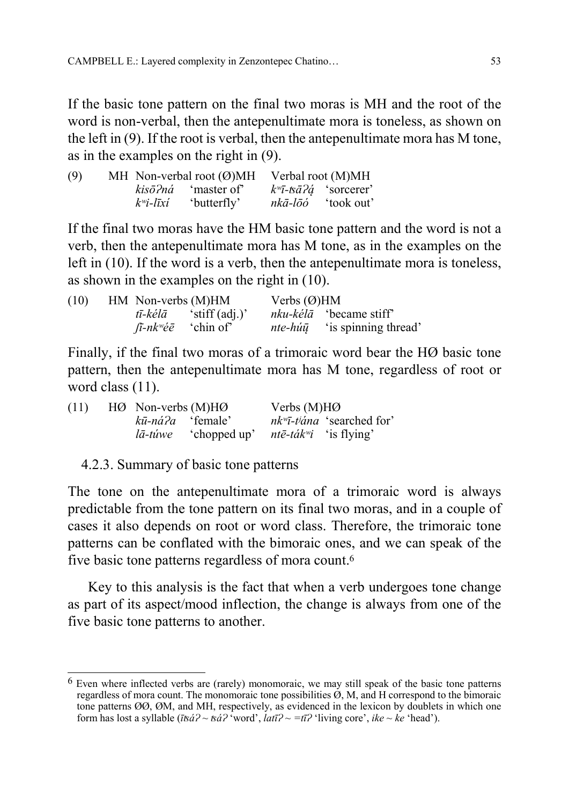If the basic tone pattern on the final two moras is MH and the root of the word is non-verbal, then the antepenultimate mora is toneless, as shown on the left in (9). If the root is verbal, then the antepenultimate mora has M tone, as in the examples on the right in (9).

| (9) |              | MH Non-verbal root $(\emptyset)$ MH | Verbal root (M)MH |                                                               |  |
|-----|--------------|-------------------------------------|-------------------|---------------------------------------------------------------|--|
|     |              | $kis\bar{o}2n\acute{a}$ 'master of' |                   | $k^{\nu} \bar{\imath}$ -ts $\bar{a}$ ? $\acute{a}$ 'sorcerer' |  |
|     | $k^w$ i-līxí | 'butterfly'                         |                   | <i>nkā-lōó</i> 'took out'                                     |  |

If the final two moras have the HM basic tone pattern and the word is not a verb, then the antepenultimate mora has M tone, as in the examples on the left in (10). If the word is a verb, then the antepenultimate mora is toneless, as shown in the examples on the right in (10).

| (10) | HM Non-verbs (M)HM |                                              | Verbs $(\emptyset)$ HM |                                                        |
|------|--------------------|----------------------------------------------|------------------------|--------------------------------------------------------|
|      |                    | $t\bar{t}$ -kél $\bar{a}$ 'stiff (adj.)'     |                        | <i>nku-kélā</i> 'became stiff'                         |
|      |                    | $\int \bar{t}$ -nk <sup>w</sup> ée 'chin of' |                        | <i>nte-hú<math>\bar{u}</math></i> 'is spinning thread' |

Finally, if the final two moras of a trimoraic word bear the HØ basic tone pattern, then the antepenultimate mora has M tone, regardless of root or word class  $(11)$ .

| (11) | $HØ$ Non-verbs $(M)HØ$ |                                                                     | Verbs $(M)HØ$ |                                                        |
|------|------------------------|---------------------------------------------------------------------|---------------|--------------------------------------------------------|
|      |                        | <i>kū-ná?a</i> 'female'                                             |               | $nk^{\omega}$ -t <sup><i>iána</i> 'searched for'</sup> |
|      |                        | <i>lā-túwe</i> 'chopped up' <i>ntē-ták<sup>w</sup>i</i> 'is flying' |               |                                                        |

4.2.3. Summary of basic tone patterns

 $\overline{\phantom{a}}$ 

The tone on the antepenultimate mora of a trimoraic word is always predictable from the tone pattern on its final two moras, and in a couple of cases it also depends on root or word class. Therefore, the trimoraic tone patterns can be conflated with the bimoraic ones, and we can speak of the five basic tone patterns regardless of mora count.<sup>6</sup>

Key to this analysis is the fact that when a verb undergoes tone change as part of its aspect/mood inflection, the change is always from one of the five basic tone patterns to another.

 $6$  Even where inflected verbs are (rarely) monomoraic, we may still speak of the basic tone patterns regardless of mora count. The monomoraic tone possibilities Ø, M, and H correspond to the bimoraic tone patterns ØØ, ØM, and MH, respectively, as evidenced in the lexicon by doublets in which one form has lost a syllable ( $\bar{t}\bar{g}a^2 \sim \bar{g}a^2$  'word',  $\bar{l}a\bar{t}a^2 \sim \bar{t}a^2$ 'living core', *ike* ~ ke 'head').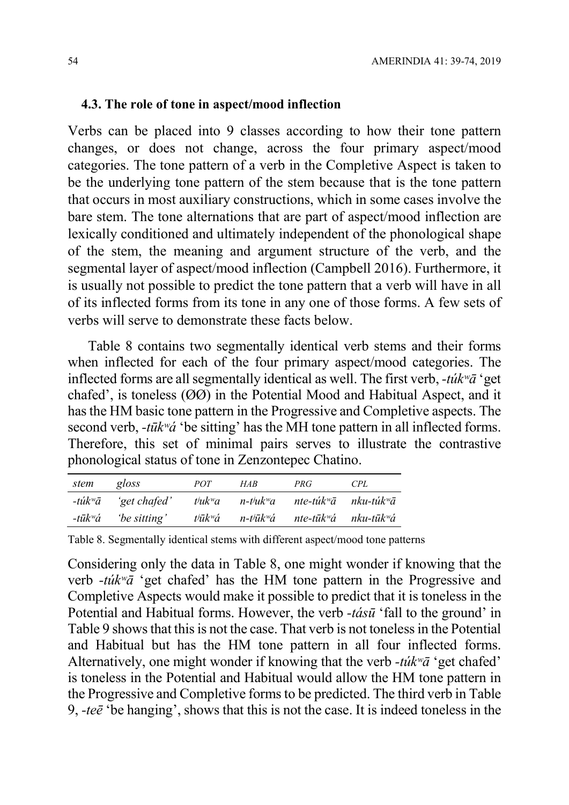#### 4.3. The role of tone in aspect/mood inflection

Verbs can be placed into 9 classes according to how their tone pattern changes, or does not change, across the four primary aspect/mood categories. The tone pattern of a verb in the Completive Aspect is taken to be the underlying tone pattern of the stem because that is the tone pattern that occurs in most auxiliary constructions, which in some cases involve the bare stem. The tone alternations that are part of aspect/mood inflection are lexically conditioned and ultimately independent of the phonological shape of the stem, the meaning and argument structure of the verb, and the segmental layer of aspect/mood inflection (Campbell 2016). Furthermore, it is usually not possible to predict the tone pattern that a verb will have in all of its inflected forms from its tone in any one of those forms. A few sets of verbs will serve to demonstrate these facts below.

Table 8 contains two segmentally identical verb stems and their forms when inflected for each of the four primary aspect/mood categories. The inflected forms are all segmentally identical as well. The first verb,  $-túk<sup>w</sup>ā$  'get chafed', is toneless (ØØ) in the Potential Mood and Habitual Aspect, and it has the HM basic tone pattern in the Progressive and Completive aspects. The second verb,  $-t\bar{u}k\dot{v}\dot{a}$  'be sitting' has the MH tone pattern in all inflected forms. Therefore, this set of minimal pairs serves to illustrate the contrastive phonological status of tone in Zenzontepec Chatino.

| stem | gloss                                              | <i>POT</i>    | HAR                                                  | PRG                                           | CPL |
|------|----------------------------------------------------|---------------|------------------------------------------------------|-----------------------------------------------|-----|
|      | $-t\acute{u}k$ <sup>w</sup> $\bar{a}$ 'get chafed' | $t^j u k^w a$ | n-t <sup>j</sup> uk <sup>w</sup> a                   | nte-túk <sup>w</sup> ā nku-túk <sup>w</sup> ā |     |
|      | $-i\bar{u}k^{\nu}\acute{a}$ be sitting'            |               | $t^j\bar{u}k^w\acute{a}$ n- $t^j\bar{u}k^w\acute{a}$ | nte-tūkʷá nku-tūkʷá                           |     |

Table 8. Segmentally identical stems with different aspect/mood tone patterns

Considering only the data in Table 8, one might wonder if knowing that the verb  $-túk\ddot{a}$  'get chafed' has the HM tone pattern in the Progressive and Completive Aspects would make it possible to predict that it is toneless in the Potential and Habitual forms. However, the verb -tásū 'fall to the ground' in Table 9 shows that this is not the case. That verb is not toneless in the Potential and Habitual but has the HM tone pattern in all four inflected forms. Alternatively, one might wonder if knowing that the verb  $-túk<sup>w</sup>ā$  'get chafed' is toneless in the Potential and Habitual would allow the HM tone pattern in the Progressive and Completive forms to be predicted. The third verb in Table 9,  $-te\bar{e}$  'be hanging', shows that this is not the case. It is indeed toneless in the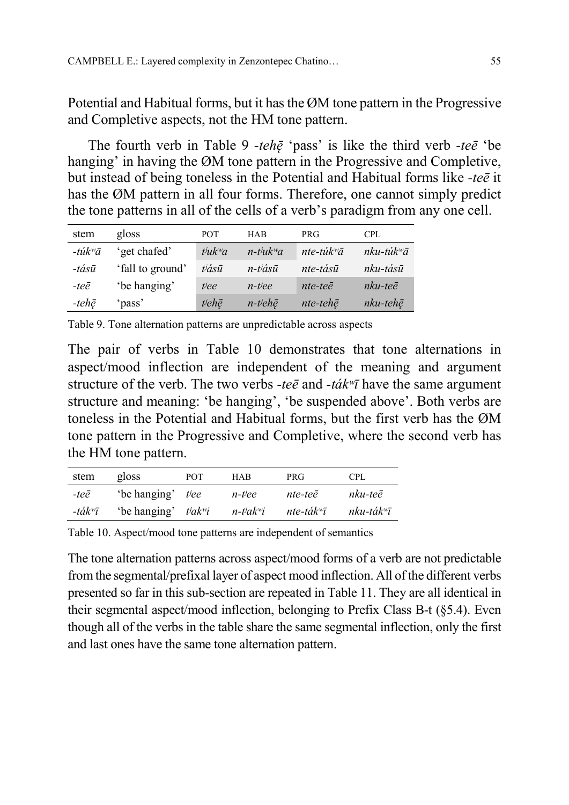Potential and Habitual forms, but it has the ØM tone pattern in the Progressive and Completive aspects, not the HM tone pattern.

The fourth verb in Table 9 -tehe 'pass' is like the third verb -tee 'be hanging' in having the ØM tone pattern in the Progressive and Completive, but instead of being toneless in the Potential and Habitual forms like -teē it has the ØM pattern in all four forms. Therefore, one cannot simply predict the tone patterns in all of the cells of a verb's paradigm from any one cell.

| stem                   | gloss            | POT           | <b>HAB</b>                            | PRG.                 | <b>CPL</b>          |
|------------------------|------------------|---------------|---------------------------------------|----------------------|---------------------|
| $-t$ úk <sup>w</sup> ā | 'get chafed'     | $t^j u k^w a$ | $n$ -t <sup>i</sup> uk <sup>w</sup> a | $nte-túkwā$          | $nku-túkwā$         |
| $-t\acute{a}s\bar{u}$  | 'fall to ground' | <i>vásū</i>   | $n$ -t $i$ ásū                        | nte-tásū             | nku-tásū            |
| $-te\bar{e}$           | 'be hanging'     | tiee          | $n$ -tiee                             | $nte-te\bar{e}$      | $nku$ -te $\bar{e}$ |
| -tehē                  | 'pass'           | tjehē         | $n$ -t <sup>j</sup> ehē               | $nte$ -teh $\bar{e}$ | $nku-teh\bar{e}$    |

Table 9. Tone alternation patterns are unpredictable across aspects

The pair of verbs in Table 10 demonstrates that tone alternations in aspect/mood inflection are independent of the meaning and argument structure of the verb. The two verbs -tee and -ták<sup>w</sup> $\bar{t}$  have the same argument structure and meaning: 'be hanging', 'be suspended above'. Both verbs are toneless in the Potential and Habitual forms, but the first verb has the ØM tone pattern in the Progressive and Completive, where the second verb has the HM tone pattern.

| stem                           | gloss                                        | <b>POT</b> | <b>HAB</b>                            | <b>PRG</b>             | <b>CPL</b>             |
|--------------------------------|----------------------------------------------|------------|---------------------------------------|------------------------|------------------------|
| -teē                           | 'be hanging' <i>tiee</i>                     |            | $n$ -tiee                             | nte-teē                | nku-teē                |
| $-t \acute{a} k^w \bar{\iota}$ | 'be hanging' $\mathit{t}$ 'ak <sup>w</sup> i |            | $n$ -t <sup>j</sup> ak <sup>w</sup> i | nte-ták $\tilde{\tau}$ | nku-ták <sup>w</sup> ī |

Table 10. Aspect/mood tone patterns are independent of semantics

The tone alternation patterns across aspect/mood forms of a verb are not predictable from the segmental/prefixal layer of aspect mood inflection. All of the different verbs presented so far in this sub-section are repeated in Table 11. They are all identical in their segmental aspect/mood inflection, belonging to Prefix Class B-t (§5.4). Even though all of the verbs in the table share the same segmental inflection, only the first and last ones have the same tone alternation pattern.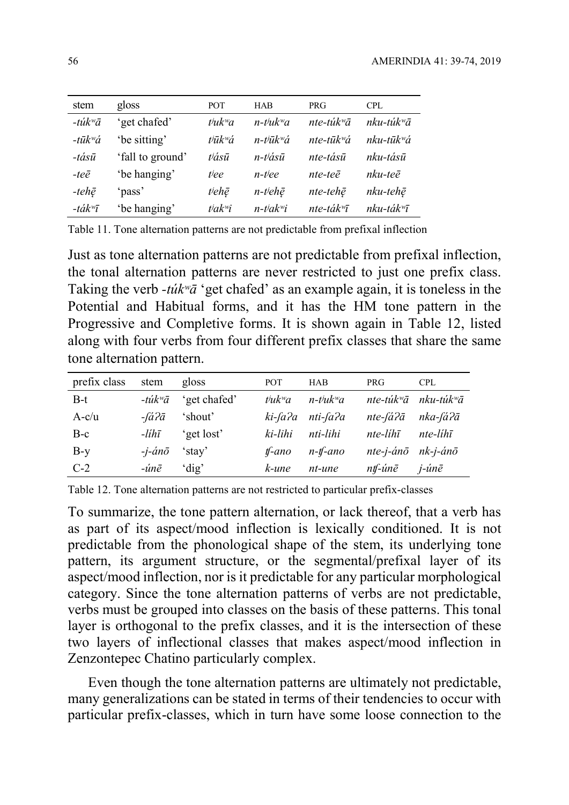| stem                                 | gloss            | <b>POT</b>          | <b>HAB</b>                            | <b>PRG</b>            | <b>CPL</b>               |
|--------------------------------------|------------------|---------------------|---------------------------------------|-----------------------|--------------------------|
| $-t$ úk <sup>w</sup> ā               | 'get chafed'     | $t^j u k^w a$       | $n$ -t <sup>j</sup> uk <sup>w</sup> a | nte-tú $k^{\omega}$ ā | $nku$ -tú $k^w\bar{a}$   |
| $-t\bar{u}k$ <sup>w</sup> á          | 'be sitting'     | t <sup>jūkw</sup> á | $n$ -t $i\bar{u}k$ <sup>w</sup> á     | nte-tū $k^w a$        | $nku$ -tū $k^w\acute{a}$ |
| $-t\acute{a}s\bar{u}$                | 'fall to ground' | tiásū               | n-t <sup>j</sup> ásū                  | nte-tásū              | nku-tásū                 |
| $-te\bar{e}$                         | 'be hanging'     | tiee                | n-tiee                                | nte-teē               | nku-teē                  |
| -tehē                                | 'pass'           | t <sup>j</sup> ehē  | $n$ -t <sup>j</sup> ehē               | nte-tehē              | nku-tehē                 |
| $-t \acute{a}k$ <sup><i>w</i>T</sup> | 'be hanging'     | $t^j a k^w i$       | $n$ -t <sup>j</sup> ak <sup>w</sup> i | nte-ták $\bar{u}$     | $nku-ták''\bar{l}$       |

Table 11. Tone alternation patterns are not predictable from prefixal inflection

Just as tone alternation patterns are not predictable from prefixal inflection, the tonal alternation patterns are never restricted to just one prefix class. Taking the verb -túk<sup>w</sup> $\bar{a}$  'get chafed' as an example again, it is toneless in the Potential and Habitual forms, and it has the HM tone pattern in the Progressive and Completive forms. It is shown again in Table 12, listed along with four verbs from four different prefix classes that share the same tone alternation pattern.

| prefix class | stem                    | gloss        | <b>POT</b>    | <b>HAB</b>                            | <b>PRG</b>             | <b>CPL</b>             |
|--------------|-------------------------|--------------|---------------|---------------------------------------|------------------------|------------------------|
| B-t          | $-t$ úk <sup>w</sup> ā  | 'get chafed' | $t^j u k^w a$ | $n$ -t <sup>j</sup> uk <sup>w</sup> a | nte-túk <sup>w</sup> ā | nku-túk <sup>w</sup> ā |
| $A-c/u$      | $-i\dot{a}$ ? $\bar{a}$ | 'shout'      | ki-fa?a       | nti-fa?a                              | nte-fá?ā               | nka-fá?ā               |
| $B-c$        | $-lih\bar{\iota}$       | 'get lost'   | ki-lihi       | nti-lihi                              | $nte$ -líhī            | $nte$ -líh $\bar{i}$   |
| $B-y$        | $-i$ -án $\bar{o}$      | 'stay'       | $t$ -ano      | $n$ -tf-ano                           | nte-j-ánō nk-j-ánō     |                        |
| $C-2$        | -únē                    | 'dig'        | k-une         | nt-une                                | ntf-únē                | j-únē                  |

Table 12. Tone alternation patterns are not restricted to particular prefix-classes

To summarize, the tone pattern alternation, or lack thereof, that a verb has as part of its aspect/mood inflection is lexically conditioned. It is not predictable from the phonological shape of the stem, its underlying tone pattern, its argument structure, or the segmental/prefixal layer of its aspect/mood inflection, nor is it predictable for any particular morphological category. Since the tone alternation patterns of verbs are not predictable, verbs must be grouped into classes on the basis of these patterns. This tonal layer is orthogonal to the prefix classes, and it is the intersection of these two layers of inflectional classes that makes aspect/mood inflection in Zenzontepec Chatino particularly complex.

Even though the tone alternation patterns are ultimately not predictable, many generalizations can be stated in terms of their tendencies to occur with particular prefix-classes, which in turn have some loose connection to the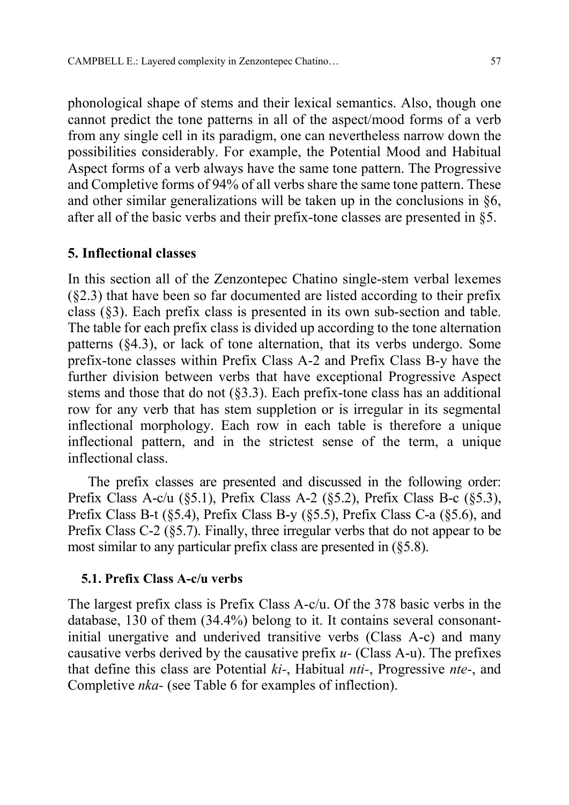phonological shape of stems and their lexical semantics. Also, though one cannot predict the tone patterns in all of the aspect/mood forms of a verb from any single cell in its paradigm, one can nevertheless narrow down the possibilities considerably. For example, the Potential Mood and Habitual Aspect forms of a verb always have the same tone pattern. The Progressive and Completive forms of 94% of all verbs share the same tone pattern. These and other similar generalizations will be taken up in the conclusions in §6, after all of the basic verbs and their prefix-tone classes are presented in §5.

#### 5. Inflectional classes

In this section all of the Zenzontepec Chatino single-stem verbal lexemes (§2.3) that have been so far documented are listed according to their prefix class (§3). Each prefix class is presented in its own sub-section and table. The table for each prefix class is divided up according to the tone alternation patterns (§4.3), or lack of tone alternation, that its verbs undergo. Some prefix-tone classes within Prefix Class A-2 and Prefix Class B-y have the further division between verbs that have exceptional Progressive Aspect stems and those that do not (§3.3). Each prefix-tone class has an additional row for any verb that has stem suppletion or is irregular in its segmental inflectional morphology. Each row in each table is therefore a unique inflectional pattern, and in the strictest sense of the term, a unique inflectional class.

The prefix classes are presented and discussed in the following order: Prefix Class A-c/u (§5.1), Prefix Class A-2 (§5.2), Prefix Class B-c (§5.3), Prefix Class B-t (§5.4), Prefix Class B-y (§5.5), Prefix Class C-a (§5.6), and Prefix Class C-2 (§5.7). Finally, three irregular verbs that do not appear to be most similar to any particular prefix class are presented in (§5.8).

#### 5.1. Prefix Class A-c/u verbs

The largest prefix class is Prefix Class A-c/u. Of the 378 basic verbs in the database, 130 of them (34.4%) belong to it. It contains several consonantinitial unergative and underived transitive verbs (Class A-c) and many causative verbs derived by the causative prefix  $u$ - (Class A-u). The prefixes that define this class are Potential ki-, Habitual nti-, Progressive nte-, and Completive nka- (see Table 6 for examples of inflection).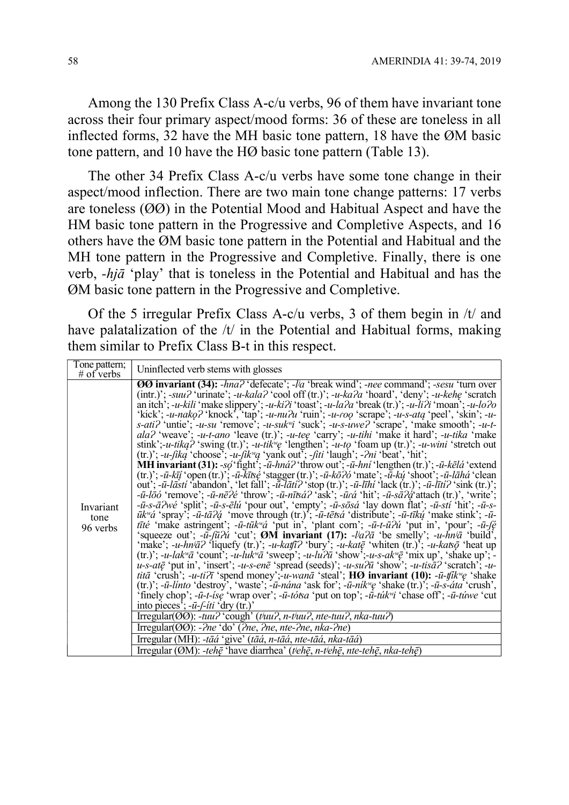Among the 130 Prefix Class A-c/u verbs, 96 of them have invariant tone across their four primary aspect/mood forms: 36 of these are toneless in all inflected forms, 32 have the MH basic tone pattern, 18 have the ØM basic tone pattern, and 10 have the HØ basic tone pattern (Table 13).

The other 34 Prefix Class A-c/u verbs have some tone change in their aspect/mood inflection. There are two main tone change patterns: 17 verbs are toneless (ØØ) in the Potential Mood and Habitual Aspect and have the HM basic tone pattern in the Progressive and Completive Aspects, and 16 others have the ØM basic tone pattern in the Potential and Habitual and the MH tone pattern in the Progressive and Completive. Finally, there is one verb, -hjā 'play' that is toneless in the Potential and Habitual and has the ØM basic tone pattern in the Progressive and Completive.

Of the 5 irregular Prefix Class A-c/u verbs, 3 of them begin in /t/ and have palatalization of the  $/t/$  in the Potential and Habitual forms, making them similar to Prefix Class B-t in this respect.

| Tone pattern;<br>$#$ of verbs | Uninflected verb stems with glosses                                                                                                                                                                                                                                                                                                                                                                                                                                                                                                                                                                                                                                                                                                                                                                                                                                                                                                                                                                                                                                                                                                                                                                                                                                                                                                                                                                                                                                                                                                                                                                                                                                                                                                                                                                                                                                                                                                                                                                                                                                                                                                                                                                                                                                                                                                                                                                                                                                                                                                                                                                                                                                                                                                                                                                                                                                                                                                                                                                                                                                                                                                                                                                                                                                                                                                                                                                                                                                                                                    |
|-------------------------------|------------------------------------------------------------------------------------------------------------------------------------------------------------------------------------------------------------------------------------------------------------------------------------------------------------------------------------------------------------------------------------------------------------------------------------------------------------------------------------------------------------------------------------------------------------------------------------------------------------------------------------------------------------------------------------------------------------------------------------------------------------------------------------------------------------------------------------------------------------------------------------------------------------------------------------------------------------------------------------------------------------------------------------------------------------------------------------------------------------------------------------------------------------------------------------------------------------------------------------------------------------------------------------------------------------------------------------------------------------------------------------------------------------------------------------------------------------------------------------------------------------------------------------------------------------------------------------------------------------------------------------------------------------------------------------------------------------------------------------------------------------------------------------------------------------------------------------------------------------------------------------------------------------------------------------------------------------------------------------------------------------------------------------------------------------------------------------------------------------------------------------------------------------------------------------------------------------------------------------------------------------------------------------------------------------------------------------------------------------------------------------------------------------------------------------------------------------------------------------------------------------------------------------------------------------------------------------------------------------------------------------------------------------------------------------------------------------------------------------------------------------------------------------------------------------------------------------------------------------------------------------------------------------------------------------------------------------------------------------------------------------------------------------------------------------------------------------------------------------------------------------------------------------------------------------------------------------------------------------------------------------------------------------------------------------------------------------------------------------------------------------------------------------------------------------------------------------------------------------------------------------------------|
| Invariant<br>tone<br>96 verbs | <b>OO</b> invariant (34): -hna? 'defecate'; -la 'break wind'; -nee command'; -sesu 'turn over<br>(intr.)'; -suu? 'urinate'; -u-kala? 'cool off (tr.)'; -u-ka?a 'hoard', 'deny'; -u-kehe 'scratch<br>an itch'; -u-kili 'make slippery'; -u-ki $\lambda$ i 'toast'; -u-la $\lambda$ a 'break (tr.)'; -u-li $\lambda$ i 'moan'; -u-lo $\lambda$ o<br>'kick'; -u-nako? 'knock', 'tap'; -u-nu?u 'ruin'; -u-roo 'scrape'; -u-s-ata 'peel', 'skin'; -u-<br>s-ati? 'untie'; -u-su 'remove'; -u-suk <sup>w</sup> i 'suck'; -u-s-uwe? 'scrape', 'make smooth'; -u-t-<br>ala? 'weave'; -u-t-ano 'leave (tr.)'; -u-tee 'carry'; -u-tihi 'make it hard'; -u-tika 'make<br>stink';-u-tikq? 'swing (tr.)'; -u-tik <sup>w</sup> e 'lengthen'; -u-to 'foam up (tr.)'; -u-wini 'stretch out<br>$(tr.)$ ; -u-fika 'choose'; -u-fik <sup>w</sup> a 'yank out'; -fiti 'laugh'; - <i>?ni</i> 'beat', 'hit';<br><b>MH</b> invariant (31): $-s\phi$ fight'; $-\bar{u}$ -hná? throw out'; $-\bar{u}$ -hní 'lengthen (tr.)'; $-\bar{u}$ -kēlá 'extend<br>(tr.)'; - $\bar{u}$ - $k\bar{i}j$ 'open(tr.)'; - $\bar{u}$ - $k\bar{i}$ tsé 'stagger(tr.)'; - $\bar{u}$ - $k\bar{o}$ ?ó 'mate'; - $\bar{u}$ - $k\psi$ 'shoot'; - $\bar{u}$ - $l\bar{a}h\dot{a}$ 'clean<br>out'; - $\bar{u}$ - <i>lāsti</i> 'abandon', 'let fall'; - $\bar{u}$ - <i>lāti</i> ? 'stop (tr.)'; - $\bar{u}$ - <i>līhi</i> 'lack (tr.)'; - $\bar{u}$ - <i>līti</i> ? 'sink (tr.)';<br>$-\bar{u}-l\bar{\partial}\acute{o}$ 'remove'; $-\bar{u}-n\bar{e}\acute{e}$ 'throw'; $-\bar{u}-n\bar{t}\acute{e}\acute{a}$ ? 'ask'; $-\bar{u}\acute{e}\acute{a}$ 'hit'; $-\bar{u}-s\bar{a}\acute{e}\acute{d}$ 'attach (tr.)', 'write';<br>$-\bar{u}$ -s- $\bar{a}$ ?wé 'split'; - $\bar{u}$ -s- $\bar{e}$ lú 'pour out', 'empty'; - $\bar{u}$ -sōsá 'lay down flat'; - $\bar{u}$ -stí 'hit'; - $\bar{u}$ -s-<br>$\overline{u}k^{\nu}\acute{a}$ 'spray', $-\overline{u}$ -tā $2\acute{a}$ 'move through (tr.)', $-\overline{u}$ -tētsá 'distribute'; $-\overline{u}$ -tīkų 'make stink'; $-\overline{u}$ -<br><i>tīté</i> 'make astringent'; - <i>ū</i> - <i>tūk</i> <sup>w</sup> <i>a</i> 'put in', 'plant corn'; - <i>ū-t-ūʔú</i> 'put in', 'pour'; - <i>ū-fę</i><br>'squeeze out'; $-\bar{u}$ - $\bar{u}$ and 'cut'; <b>OM</b> invariant (17): $-\bar{u}$ and 'be smelly'; $-\bar{u}$ - $\bar{h}$ $\bar{u}$ 'build',<br>'make'; -u-hn <sup><i>i</i></sup> a? 'liquefy (tr.)'; -u-katfi? 'bury'; -u-kat $\bar{e}$ 'whiten (tr.)'; -u-kats $\bar{\varphi}$ 'heat up<br>(tr.)'; -u-lak <sup>w</sup> a 'count'; -u-luk <sup>w</sup> a 'sweep'; -u-lu?u 'show';-u-s-ak <sup>w</sup> e 'mix up', 'shake up'; -<br>$u$ -s-atę̃ 'put in', 'insert'; -u-s-enẽ 'sprẽad (seeds)'; -u-su $2\bar{u}$ 'show'; -u-tis $\bar{a}$ ? 'scratch'; -u-<br><i>titā</i> 'crush'; -u-ti $\partial \overline{\tau}$ 'spend money';-u-wanā 'steal'; <b>HØ invariant (10):</b> -u-tilly e 'shake<br>(tr.)'; $-\bar{u}$ -linto 'destroy', 'waste'; $-\bar{u}$ -nána 'ask for'; $-\bar{u}$ -ník <sup>n</sup> ę 'shake (tr.)'; $-\bar{u}$ -s-áta 'crush',<br>'finely chop'; -ū-t-ise 'wrap over'; -ū-totsa 'put on top'; -ū-tuk" i 'chase off'; -ū-tuwe 'cut<br>into pieces'; $-\bar{u}$ - $\int$ - <i>iti</i> 'dry (tr.)'<br>Irregular(00): -tuu? 'cough' (tiuu?, n-tiuu?, nte-tuu?, nka-tuu?)<br>Irregular( $\overline{OO}$ ): -?ne 'do' (?ne, ?ne, nte-?ne, nka-?ne)<br>Irregular (MH): -tāá 'give' (tāá, n-tāá, nte-tāá, nka-tāá)<br>Irregular (ØM): -tehē 'have diarrhea' (tiehē, n-tiehē, nte-tehē, nka-tehē) |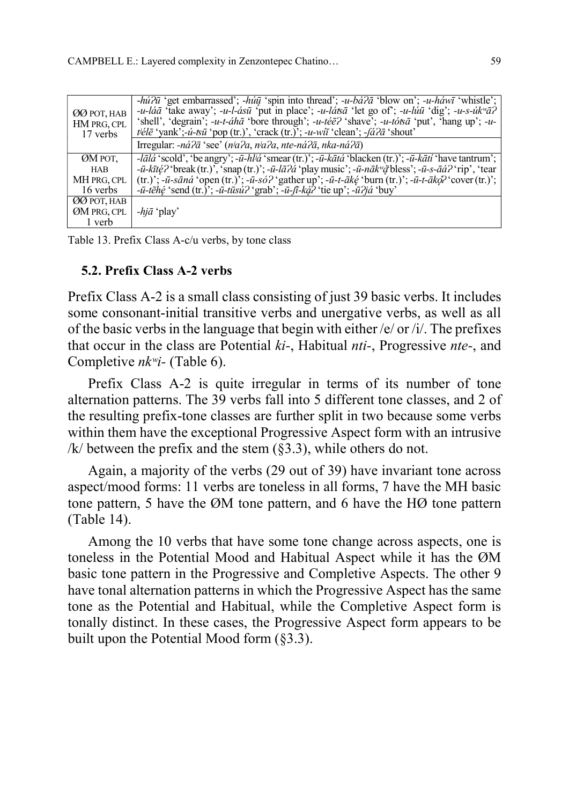| ØØ POT, HAB<br>HM PRG, CPL<br>17 verbs | $-hi\partial \bar{u}$ 'get embarrassed'; $-hi\bar{u}$ 'spin into thread'; $-u-b\acute{a}\partial \bar{a}$ 'blow on'; $-u-h\acute{a}w\bar{u}$ 'whistle';<br>-u-láā 'take away'; -u-l-ásū 'put in place'; -u-látsā 'let go of'; -u-lúū 'dig'; -u-s-úk <sup>w</sup> ā?<br>'shell', 'degrain'; $-u-t-\hat{a}h\bar{a}$ 'bore through'; $-u-t\hat{e}\bar{e}$ ' shave'; $-u-t\hat{o}\bar{a}$ 'put', 'hang up'; $-u$ -<br>$t\ddot{\in} \ell \ddot{\in}$ 'yank';- <i>u-tsū</i> 'pop (tr.)', 'crack (tr.)'; - <i>u-wiī</i> 'clean'; - <i>fa?ā</i> 'shout' |
|----------------------------------------|-------------------------------------------------------------------------------------------------------------------------------------------------------------------------------------------------------------------------------------------------------------------------------------------------------------------------------------------------------------------------------------------------------------------------------------------------------------------------------------------------------------------------------------------------|
|                                        | Irregular: $-n\acute{a}2\bar{a}$ 'see' ( $n\acute{a}2a$ , $n\acute{a}2a$ , nte-n $\acute{a}2\bar{a}$ , nka-n $\acute{a}2\bar{a}$ )                                                                                                                                                                                                                                                                                                                                                                                                              |
| ØM POT,                                | - <i>lālá</i> 'scold', 'be angry'; - <i>ū</i> - <i>hl<sup>j</sup>á</i> 'smear (tr.)'; - <i>ū-kātá</i> 'blacken (tr.)'; - <i>ū-kātí</i> 'have tantrum';                                                                                                                                                                                                                                                                                                                                                                                          |
| <b>HAB</b>                             | $-i\bar{l}$ - $\bar{u}$ - $\bar{k}$ i $\bar{\ell}$ ? break (tr.), 'snap (tr.)'; - $\bar{u}$ - $\bar{l}$ $\bar{a}$ ? $\dot{a}$ ' play music'; - $\bar{u}$ -n $\bar{a}$ $\bar{k}$ " $\dot{\alpha}$ ' bless'; - $\bar{u}$ -s- $\bar{a}$ $\dot{a}$ ?' rip', 'tear                                                                                                                                                                                                                                                                                   |
| MH PRG, CPL                            | (tr.)'; -ū-sāná 'open (tr.)'; -ū-só? 'gather up'; -ū-t-ākę́ 'burn (tr.)'; -ū-t-ākọ? 'cover (tr.)';                                                                                                                                                                                                                                                                                                                                                                                                                                              |
| 16 verbs                               | $-\bar{u}$ -tēĥę́ 'send (tr.)'; - $\bar{u}$ -tūsú? 'grab'; - $\bar{u}$ - $\bar{u}$ -ką́? 'tie up'; - $\bar{u}$ ?já 'buy'                                                                                                                                                                                                                                                                                                                                                                                                                        |
| ØØ POT, HAB                            |                                                                                                                                                                                                                                                                                                                                                                                                                                                                                                                                                 |
| ØM PRG, CPL                            | $-hi\bar{a}$ 'play'                                                                                                                                                                                                                                                                                                                                                                                                                                                                                                                             |
| 1 verb                                 |                                                                                                                                                                                                                                                                                                                                                                                                                                                                                                                                                 |

Table 13. Prefix Class A-c/u verbs, by tone class

#### 5.2. Prefix Class A-2 verbs

Prefix Class A-2 is a small class consisting of just 39 basic verbs. It includes some consonant-initial transitive verbs and unergative verbs, as well as all of the basic verbs in the language that begin with either /e/ or /i/. The prefixes that occur in the class are Potential ki-, Habitual nti-, Progressive nte-, and Completive  $nk^w$ *i*- (Table 6).

Prefix Class A-2 is quite irregular in terms of its number of tone alternation patterns. The 39 verbs fall into 5 different tone classes, and 2 of the resulting prefix-tone classes are further split in two because some verbs within them have the exceptional Progressive Aspect form with an intrusive /k/ between the prefix and the stem  $(\S 3.3)$ , while others do not.

Again, a majority of the verbs (29 out of 39) have invariant tone across aspect/mood forms: 11 verbs are toneless in all forms, 7 have the MH basic tone pattern, 5 have the ØM tone pattern, and 6 have the HØ tone pattern (Table 14).

Among the 10 verbs that have some tone change across aspects, one is toneless in the Potential Mood and Habitual Aspect while it has the ØM basic tone pattern in the Progressive and Completive Aspects. The other 9 have tonal alternation patterns in which the Progressive Aspect has the same tone as the Potential and Habitual, while the Completive Aspect form is tonally distinct. In these cases, the Progressive Aspect form appears to be built upon the Potential Mood form (§3.3).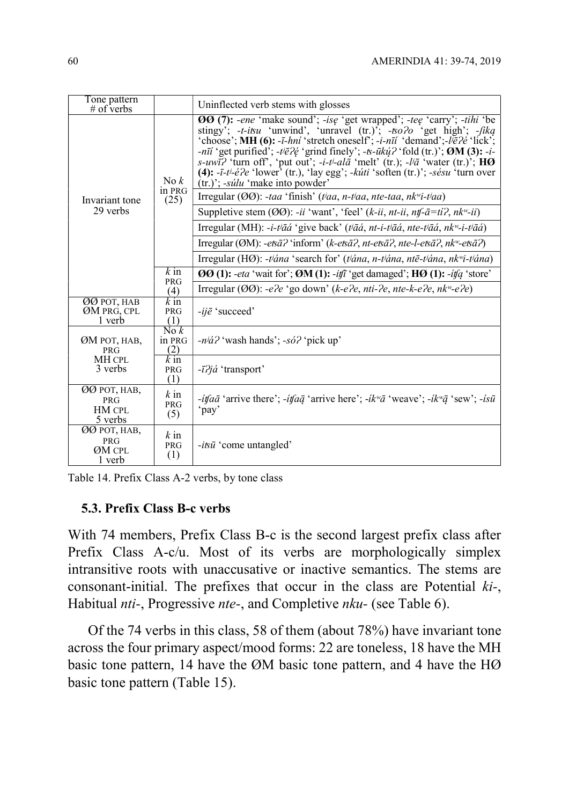| Tone pattern<br>$#$ of verbs                           |                                 | Uninflected verb stems with glosses                                                                                                                                                                                                                                                                                                                                                                                                                                                                                                                                                                                                                                                                   |  |  |
|--------------------------------------------------------|---------------------------------|-------------------------------------------------------------------------------------------------------------------------------------------------------------------------------------------------------------------------------------------------------------------------------------------------------------------------------------------------------------------------------------------------------------------------------------------------------------------------------------------------------------------------------------------------------------------------------------------------------------------------------------------------------------------------------------------------------|--|--|
|                                                        | $\text{No } k$<br>in PRG        | <b>OO</b> (7): -ene 'make sound'; -ise 'get wrapped'; -tee 'carry'; -tihi 'be<br>stingy'; - <i>t-itsu</i> 'unwind', 'unravel $(tr.)$ '; - <i>to?o</i> 'get high'; - <i>fikq</i><br>'choose'; MH (6): - <i>ī-hni</i> 'stretch oneself'; - <i>i-nīi</i> 'demand';- $\bar{\nu} \bar{e}$ ?e''lick';<br>-nīi 'get purified'; -t/ $\bar{e}$ ? $\acute{e}$ 'grind finely'; -t- $\bar{u}$ kų́? 'fold (tr.)'; ØM (3): -i-<br><i>s</i> -uwi? 'turn off', 'put out'; -i-t <sup>j</sup> -ala <sup>t</sup> 'melt' (tr.); -l'a <sup>t</sup> 'water (tr.)'; <b>HØ</b><br>(4): $-i-i^2e^2e$ 'lower' (tr.), 'lay egg'; $-k'$ <i>iti</i> 'soften (tr.)'; $-s\acute{e}su$ 'turn over<br>(tr.)'; -súlu 'make into powder' |  |  |
| Invariant tone                                         | (25)                            | Irregular (OO): -taa 'finish' (tiaa, n-tiaa, nte-taa, nk <sup>w</sup> i-tiaa)                                                                                                                                                                                                                                                                                                                                                                                                                                                                                                                                                                                                                         |  |  |
| 29 verbs                                               |                                 | Suppletive stem ( $\emptyset\emptyset$ ): -ii 'want', 'feel' (k-ii, nt-ii, ntf- $\overline{a}$ =ti?, nk <sup>w</sup> -ii)                                                                                                                                                                                                                                                                                                                                                                                                                                                                                                                                                                             |  |  |
|                                                        |                                 | Irregular (MH): -i-tʲāá 'give back' (tʲāá, nt-i-tʲāá, nte-tʲāá, nkʷ-i-tʲāá)                                                                                                                                                                                                                                                                                                                                                                                                                                                                                                                                                                                                                           |  |  |
|                                                        |                                 | Irregular (ØM): -ets $\bar{a}$ ? 'inform' (k-ets $\bar{a}$ ?, nt-ets $\bar{a}$ ?, nte-l-ets $\bar{a}$ ?, nk <sup>w</sup> -ets $\bar{a}$ ?)                                                                                                                                                                                                                                                                                                                                                                                                                                                                                                                                                            |  |  |
|                                                        |                                 | Irregular (HØ): -t'ána 'search for' (t'ána, n-t'ána, ntē-t'ána, nk <sup>w</sup> i-t'ána)                                                                                                                                                                                                                                                                                                                                                                                                                                                                                                                                                                                                              |  |  |
|                                                        | $\overline{k}$ in               | $\boldsymbol{00}$ (1): -eta 'wait for'; $\boldsymbol{0}$ M (1): -itfi 'get damaged'; $\boldsymbol{H}\boldsymbol{0}$ (1): -itfq 'store'                                                                                                                                                                                                                                                                                                                                                                                                                                                                                                                                                                |  |  |
|                                                        | <b>PRG</b><br>(4)               | Irregular (ØØ): -e?e 'go down' (k-e?e, nti-?e, nte-k-e?e, nk <sup>w</sup> -e?e)                                                                                                                                                                                                                                                                                                                                                                                                                                                                                                                                                                                                                       |  |  |
| <b>ØØ POT, HAB</b><br>ØM PRG, CPL<br>1 verb            | $\overline{k}$ in<br>PRG<br>(1) | $-i j \bar{e}$ 'succeed'                                                                                                                                                                                                                                                                                                                                                                                                                                                                                                                                                                                                                                                                              |  |  |
| ØM POT, HAB,<br><b>PRG</b>                             | $N \circ k$<br>in PRG<br>(2)    | $-n^{j}d$ ? 'wash hands'; -só? 'pick up'                                                                                                                                                                                                                                                                                                                                                                                                                                                                                                                                                                                                                                                              |  |  |
| MH CPL<br>3 verbs                                      | $k$ in<br><b>PRG</b><br>(1)     | $-i7i\acute{a}$ 'transport'                                                                                                                                                                                                                                                                                                                                                                                                                                                                                                                                                                                                                                                                           |  |  |
| ØØ POT, HAB,<br><b>PRG</b><br><b>HM CPL</b><br>5 verbs | $k$ in<br><b>PRG</b><br>(5)     | - <i>itfaā</i> 'arrive there'; - <i>itfa</i> $\bar{q}$ 'arrive here'; - <i>ik</i> <sup>w</sup> $\bar{a}$ 'weave'; - <i>ik</i> <sup>w</sup> $\bar{q}$ 'sew'; - <i>isū</i><br>'pay'                                                                                                                                                                                                                                                                                                                                                                                                                                                                                                                     |  |  |
| ØØ POT, HAB,<br><b>PRG</b><br>ØM CPL<br>1 verb         | $k$ in<br>PRG<br>(1)            | $-i\bar{v}\bar{u}$ 'come untangled'                                                                                                                                                                                                                                                                                                                                                                                                                                                                                                                                                                                                                                                                   |  |  |

### 5.3. Prefix Class B-c verbs

With 74 members, Prefix Class B-c is the second largest prefix class after Prefix Class A-c/u. Most of its verbs are morphologically simplex intransitive roots with unaccusative or inactive semantics. The stems are consonant-initial. The prefixes that occur in the class are Potential ki-, Habitual *nti*-, Progressive *nte*-, and Completive *nku*- (see Table 6).

Of the 74 verbs in this class, 58 of them (about 78%) have invariant tone across the four primary aspect/mood forms: 22 are toneless, 18 have the MH basic tone pattern, 14 have the ØM basic tone pattern, and 4 have the HØ basic tone pattern (Table 15).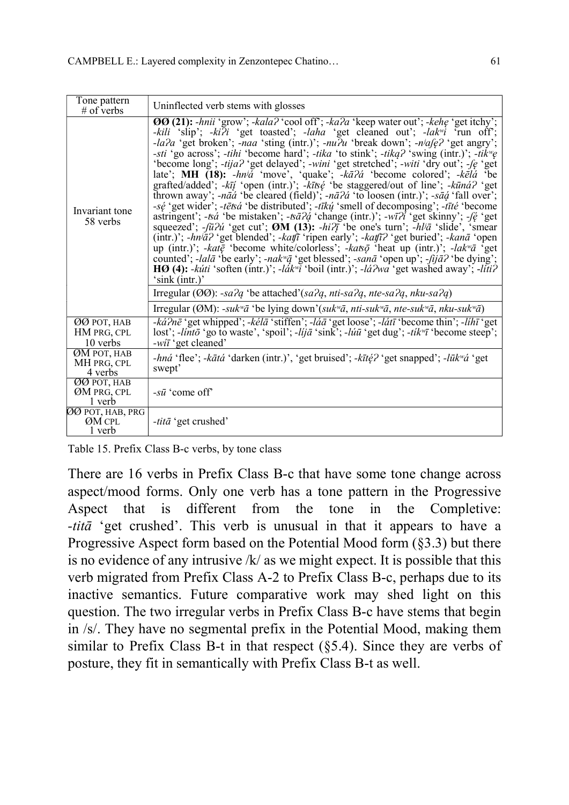| Tone pattern<br>$#$ of verbs           | Uninflected verb stems with glosses                                                                                                                                                                                                                                                                                                                                                                                                                                                                                                                                                                                                                                                                                                                                                                                                                                                                                                                                                                                                                                                                                                                                                                                                                                                                                                                                                                                                                                                                                                                                                                      |
|----------------------------------------|----------------------------------------------------------------------------------------------------------------------------------------------------------------------------------------------------------------------------------------------------------------------------------------------------------------------------------------------------------------------------------------------------------------------------------------------------------------------------------------------------------------------------------------------------------------------------------------------------------------------------------------------------------------------------------------------------------------------------------------------------------------------------------------------------------------------------------------------------------------------------------------------------------------------------------------------------------------------------------------------------------------------------------------------------------------------------------------------------------------------------------------------------------------------------------------------------------------------------------------------------------------------------------------------------------------------------------------------------------------------------------------------------------------------------------------------------------------------------------------------------------------------------------------------------------------------------------------------------------|
| Invariant tone<br>58 verbs             | $\overline{00}(21)$ : -hnii 'grow'; -kala? 'cool off'; -ka?a 'keep water out'; -kehe 'get itchy';<br>-kili 'slip'; -ki?i 'get toasted'; -laha 'get cleaned out'; -lak <sup>w</sup> i 'run off';<br>-la?a 'get broken'; -naa 'sting (intr.)'; -nu?u 'break down'; -n <sup>j</sup> afe? 'get angry';<br>-sti 'go across'; -tihi 'become hard'; -tika 'to stink'; -tika? 'swing (intr.)'; -tik <sup>w</sup> e<br>'become long'; -tija? 'get delayed'; -wini 'get stretched'; -witi 'dry out'; -fe 'get<br>late'; MH $(18)$ : -hn'a 'move', 'quake'; -ka $\overline{a}$ ' 'become colored'; -ke $\overline{a}$ ' be<br>grafted/added'; -kīį 'open (intr.)'; -kītsę 'be staggered/out of line'; -kūna? 'get<br>thrown away'; -nāá 'be cleared (field)'; -nā $2a$ ' to loosen (intr.)'; -sāą́ 'fall over';<br>-sé 'get wider'; -tētsá 'be distributed'; -tīkų́ 'smell of decomposing'; -tīté 'become<br>astringent'; -tså 'be mistaken'; -tsā?ą́ 'change (intr.)'; -wī?ł 'get skinny'; -fę́ 'get<br>squeezed'; $-i\bar{u}2\dot{u}$ 'get cut'; <b>ØM</b> (13): $-hi2\bar{j}$ 'be one's turn'; $-hi\bar{a}$ 'slide', 'smear<br>(intr.)'; -hn/ $\bar{a}$ ? 'get blended'; -katfi 'ripen early'; -katfi? 'get buried'; -kan $\bar{a}$ 'open<br>up (intr.)'; -kate 'become white/colorless'; -katso 'heat up (intr.)'; -lak <sup>w</sup> a 'get<br>counted'; -lalā 'be early'; -nak" $\bar{q}$ 'get blessed'; -sanā 'open up'; -fijā? 'be dying';<br><b>HØ</b> (4): - <i>kúti</i> 'soften (intr.)'; - <i>lák<sup>w</sup>i</i> 'boil (intr.)'; - <i>lá?wa</i> 'get washed away'; - <i>líti?</i><br>$\sin k$ (intr.)' |
|                                        | Irregular (OO): -sa?q 'be attached'(sa?q, nti-sa?q, nte-sa?q, nku-sa?q)                                                                                                                                                                                                                                                                                                                                                                                                                                                                                                                                                                                                                                                                                                                                                                                                                                                                                                                                                                                                                                                                                                                                                                                                                                                                                                                                                                                                                                                                                                                                  |
|                                        | Irregular (ØM): -suk <sup>w</sup> ā 'be lying down'(suk <sup>w</sup> ā, nti-suk <sup>w</sup> ā, nte-suk <sup>w</sup> ā, nku-suk <sup>w</sup> ā)                                                                                                                                                                                                                                                                                                                                                                                                                                                                                                                                                                                                                                                                                                                                                                                                                                                                                                                                                                                                                                                                                                                                                                                                                                                                                                                                                                                                                                                          |
| ØØ POT, HAB<br>HM PRG, CPL<br>10 verbs | -ká?nē 'get whipped'; -kélā 'stiffen'; -láā 'get loose'; -látī 'become thin'; -líhī 'get<br>lost'; -lintō 'go to waste', 'spoil'; -lijā 'sink'; -liutī 'get dug'; -tik <sup>w</sup> ī 'become steep';<br>$-wi\bar{i}$ 'get cleaned'                                                                                                                                                                                                                                                                                                                                                                                                                                                                                                                                                                                                                                                                                                                                                                                                                                                                                                                                                                                                                                                                                                                                                                                                                                                                                                                                                                      |
| ØM POT, HAB<br>MH PRG, CPL<br>4 verbs  | -hná 'flee'; -kātá 'darken (intr.)', 'get bruised'; -kītę́? 'get snapped'; -lūk <sup>w</sup> á 'get<br>swept'                                                                                                                                                                                                                                                                                                                                                                                                                                                                                                                                                                                                                                                                                                                                                                                                                                                                                                                                                                                                                                                                                                                                                                                                                                                                                                                                                                                                                                                                                            |
| ØØ POT, HAB<br>ØM PRG, CPL<br>1 verb   | $-s\bar{u}$ 'come off'                                                                                                                                                                                                                                                                                                                                                                                                                                                                                                                                                                                                                                                                                                                                                                                                                                                                                                                                                                                                                                                                                                                                                                                                                                                                                                                                                                                                                                                                                                                                                                                   |
| ØØ POT, HAB, PRG<br>ØM CPL<br>1 verb   | <i>-titā</i> 'get crushed'                                                                                                                                                                                                                                                                                                                                                                                                                                                                                                                                                                                                                                                                                                                                                                                                                                                                                                                                                                                                                                                                                                                                                                                                                                                                                                                                                                                                                                                                                                                                                                               |

Table 15. Prefix Class B-c verbs, by tone class

There are 16 verbs in Prefix Class B-c that have some tone change across aspect/mood forms. Only one verb has a tone pattern in the Progressive Aspect that is different from the tone in the Completive: -titā 'get crushed'. This verb is unusual in that it appears to have a Progressive Aspect form based on the Potential Mood form (§3.3) but there is no evidence of any intrusive  $/k$  as we might expect. It is possible that this verb migrated from Prefix Class A-2 to Prefix Class B-c, perhaps due to its inactive semantics. Future comparative work may shed light on this question. The two irregular verbs in Prefix Class B-c have stems that begin in /s/. They have no segmental prefix in the Potential Mood, making them similar to Prefix Class B-t in that respect  $(\S 5.4)$ . Since they are verbs of posture, they fit in semantically with Prefix Class B-t as well.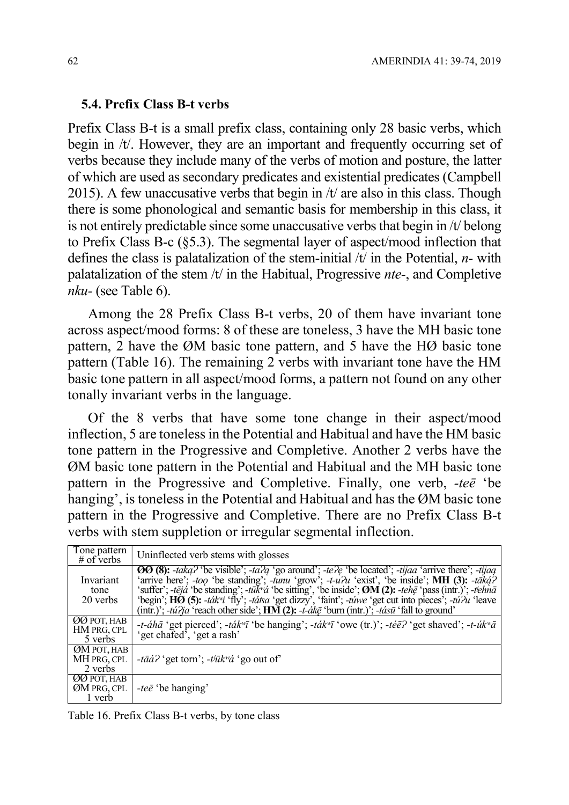#### 5.4. Prefix Class B-t verbs

Prefix Class B-t is a small prefix class, containing only 28 basic verbs, which begin in /t/. However, they are an important and frequently occurring set of verbs because they include many of the verbs of motion and posture, the latter of which are used as secondary predicates and existential predicates (Campbell 2015). A few unaccusative verbs that begin in /t/ are also in this class. Though there is some phonological and semantic basis for membership in this class, it is not entirely predictable since some unaccusative verbs that begin in /t/ belong to Prefix Class B-c (§5.3). The segmental layer of aspect/mood inflection that defines the class is palatalization of the stem-initial  $/t$  in the Potential,  $n$ - with palatalization of the stem  $/t$  in the Habitual, Progressive *nte*-, and Completive nku- (see Table 6).

Among the 28 Prefix Class B-t verbs, 20 of them have invariant tone across aspect/mood forms: 8 of these are toneless, 3 have the MH basic tone pattern, 2 have the ØM basic tone pattern, and 5 have the HØ basic tone pattern (Table 16). The remaining 2 verbs with invariant tone have the HM basic tone pattern in all aspect/mood forms, a pattern not found on any other tonally invariant verbs in the language.

Of the 8 verbs that have some tone change in their aspect/mood inflection, 5 are toneless in the Potential and Habitual and have the HM basic tone pattern in the Progressive and Completive. Another 2 verbs have the ØM basic tone pattern in the Potential and Habitual and the MH basic tone pattern in the Progressive and Completive. Finally, one verb,  $-te\bar{e}$  'be hanging', is toneless in the Potential and Habitual and has the ØM basic tone pattern in the Progressive and Completive. There are no Prefix Class B-t verbs with stem suppletion or irregular segmental inflection.

| Tone pattern<br>$\#$ of verbs                | Uninflected verb stems with glosses                                                                                                                                                                                                                                                                                                                                                                                                                                                                                                                                                                           |
|----------------------------------------------|---------------------------------------------------------------------------------------------------------------------------------------------------------------------------------------------------------------------------------------------------------------------------------------------------------------------------------------------------------------------------------------------------------------------------------------------------------------------------------------------------------------------------------------------------------------------------------------------------------------|
| Invariant<br>tone<br>20 verbs                | <b>OO</b> (8): $-\frac{t}{a}$ (8): $-\frac{t}{a}$ (be visible'; $-\frac{t}{a}$ (go around'; $-\frac{t}{c}$ (be located'; $-\frac{t}{c}$ arrive there'; $-\frac{t}{c}$ igaq<br>'arrive here'; -too 'be standing'; -tunu 'grow'; -t-u?u 'exist', 'be inside'; MH (3): -taka?<br>'suffer'; -tējá 'be standing'; -tūkvá 'be sitting', 'be inside'; ØM (2): -tehē 'pass (intr.)'; -tehnā<br>'begin'; HØ (5): -ták"i 'fly'; -tátsa 'get dizzy', 'faint'; -túwe 'get cut into pieces'; -tú?u 'leave<br>(intr.)'; -tú?ja 'reach other side'; $\overrightarrow{HM}(2)$ : -t-ákē 'burn (intr.)'; -tásū 'fall to ground' |
| <b>ØØ POT, HAB</b><br>HM PRG, CPL<br>5 verbs | <i>-t-ahā</i> 'get pierced'; <i>-tak<sup>w</sup>ī</i> 'be hanging'; <i>-tak<sup>w</sup>ī</i> 'owe (tr.)'; <i>-tēẽ?</i> 'get shaved'; <i>-t-úk<sup>w</sup>ā</i><br>'get chafed <sup>3</sup> , 'get a rash'                                                                                                                                                                                                                                                                                                                                                                                                     |
| ØM POT, HAB<br>MH PRG, CPL<br>2 verbs        | -tāá? 'get torn'; -t <sup>jūk</sup> "a <sup>'</sup> go out of                                                                                                                                                                                                                                                                                                                                                                                                                                                                                                                                                 |
| ØØ POT, HAB<br>ØM PRG, CPL<br>1 verb         | <i>-tee</i> 'be hanging'                                                                                                                                                                                                                                                                                                                                                                                                                                                                                                                                                                                      |

Table 16. Prefix Class B-t verbs, by tone class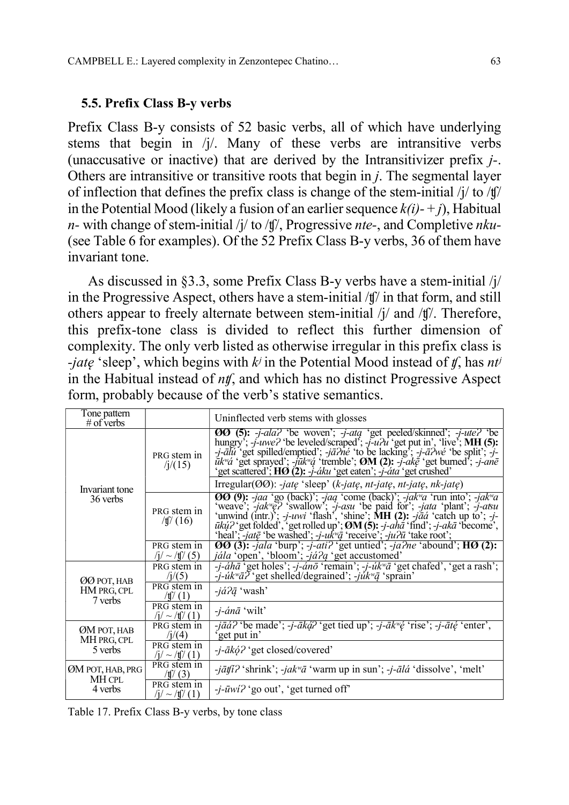#### 5.5. Prefix Class B-y verbs

Prefix Class B-y consists of 52 basic verbs, all of which have underlying stems that begin in /j/. Many of these verbs are intransitive verbs (unaccusative or inactive) that are derived by the Intransitivizer prefix j-. Others are intransitive or transitive roots that begin in j. The segmental layer of inflection that defines the prefix class is change of the stem-initial  $\frac{1}{4}$  to  $\frac{1}{4}$ in the Potential Mood (likely a fusion of an earlier sequence  $k(i)$ -+j), Habitual *n*- with change of stem-initial /j/ to /tf/, Progressive *nte*-, and Completive *nku*-(see Table 6 for examples). Of the 52 Prefix Class B-y verbs, 36 of them have invariant tone.

As discussed in §3.3, some Prefix Class B-y verbs have a stem-initial /j/ in the Progressive Aspect, others have a stem-initial /ʧ/ in that form, and still others appear to freely alternate between stem-initial /j/ and /ʧ/. Therefore, this prefix-tone class is divided to reflect this further dimension of complexity. The only verb listed as otherwise irregular in this prefix class is -*jate* 'sleep', which begins with  $k^j$  in the Potential Mood instead of  $f$ , has  $nt^j$ in the Habitual instead of  $n\mathbf{f}$ , and which has no distinct Progressive Aspect form, probably because of the verb's stative semantics.

| Tone pattern<br># of verbs            |                                                | Uninflected verb stems with glosses                                                                                                                                                                                                                                                                                                                                                                                                                                                                     |
|---------------------------------------|------------------------------------------------|---------------------------------------------------------------------------------------------------------------------------------------------------------------------------------------------------------------------------------------------------------------------------------------------------------------------------------------------------------------------------------------------------------------------------------------------------------------------------------------------------------|
|                                       | PRG stem in<br>/1/(15)                         | <b>OO</b> (5): -j-ala? 'be woven'; -j-ata 'get peeled/skinned'; -j-ute? 'be<br>hungry'; -j-uwe? 'be leveled/scraped'; -j-u?u 'get put in', 'live'; MH (5):<br>-j-ālu 'get spilled/emptied'; -jā?né 'to be lacking'; -j-ā?wé 'be split'; -j-<br>$\vec{u}k$ "á 'get sprayed'; -jūk"á 'tremble'; <b>ØM (2):</b> -j-akē 'get burned'; -j-anē<br>'get scattered'; HØ (2): -j-áku 'get eaten'; -j-áta 'get crushed'                                                                                           |
| Invariant tone                        |                                                | Irregular( $\emptyset\emptyset$ ): -jatę 'sleep' (k-jatę, nt-jatę, nt-jatę, nk-jatę)                                                                                                                                                                                                                                                                                                                                                                                                                    |
| 36 verbs                              | PRG stem in<br>$/$ tf $/$ (16)                 | <b>OO</b> (9): -jaa 'go (back)'; -jaa 'come (back)'; -jak <sup>w</sup> a 'run into'; -jak <sup>w</sup> a 'weave'; -jak <sup>w</sup> e? 'swallow'; -j-asu 'be paid for'; -jata 'plant'; -j-atsu 'unwind (intr.)'; -j-uwi 'flash', 'shine'; <b>MH</b> (2): -jāá 'catch up t<br>$\bar{u}k\dot{\mu}$ ? 'get folded', 'get rolled up'; $\mathcal{O}M(5)$ : -j-a $\hbar\dot{a}$ 'find'; -j-ak $\bar{a}$ 'become', 'heal'; -jat $\bar{e}$ 'be washed'; -j-u $k''\bar{a}$ 'receive'; -ju $\bar{n}$ 'take root'; |
|                                       | PRG stem in<br>$/j/ \sim /f/(5)$               | $\boldsymbol{00}$ (3): -jala 'burp'; -j-ati? 'get untied'; -ja?ne 'abound'; $\boldsymbol{H}\boldsymbol{0}$ (2):<br><i>jála</i> 'open', 'bloom'; -já?q 'get accustomed'                                                                                                                                                                                                                                                                                                                                  |
| ØØ POT, HAB                           | PRG stem in<br>/ij(5)                          | $-i-\hat{a}h\bar{a}$ 'get holes'; $-i-\hat{a}n\bar{o}$ 'remain'; $-i-\hat{u}k^w\bar{a}$ 'get chafed', 'get a rash';<br>$-i\mu k^{\nu} \bar{a} \bar{f}$ 'get shelled/degrained'; $-i\mu k^{\nu} \bar{g}$ 'sprain'                                                                                                                                                                                                                                                                                        |
| HM PRG, CPL                           | PRG stem in<br>$/$ t $/$ (1)                   | $-i\dot{a}$ ? $\bar{q}$ 'wash'                                                                                                                                                                                                                                                                                                                                                                                                                                                                          |
| 7 verbs                               | PRG stem in<br>$/i / \sim / \frac{f}{f} / (1)$ | $-i$ - <i>anā</i> 'wilt'                                                                                                                                                                                                                                                                                                                                                                                                                                                                                |
| ØM POT, HAB<br>MH PRG, CPL<br>5 verbs | PRG stem in<br>/1/(4)                          | $-i\bar{a}\hat{a}$ ? 'be made'; $-i$ - $\bar{a}k\hat{a}$ ? 'get tied up'; $-i$ - $\bar{a}k^w\hat{e}$ 'rise'; $-i$ - $\bar{a}t\hat{e}$ 'enter',<br>get put in'                                                                                                                                                                                                                                                                                                                                           |
|                                       | PRG stem in<br>$/i / \sim / \frac{f}{f}$ (1)   | -j-ākó? 'get closed/covered'                                                                                                                                                                                                                                                                                                                                                                                                                                                                            |
| ØM POT, HAB, PRG                      | PRG stem in<br>$/$ tf $/$ (3)                  | $-j\bar{a}t\bar{i}$ ? 'shrink'; $-jak^{\omega}\bar{a}$ 'warm up in sun'; $-j$ - $\bar{a}l\bar{a}$ 'dissolve', 'melt'                                                                                                                                                                                                                                                                                                                                                                                    |
| MH CPL<br>4 verbs                     | PRG stem in<br>$/i / \sim / \frac{f}{f}$ (1)   | $-i$ - $\bar{u}$ wi? 'go out', 'get turned off'                                                                                                                                                                                                                                                                                                                                                                                                                                                         |

Table 17. Prefix Class B-y verbs, by tone class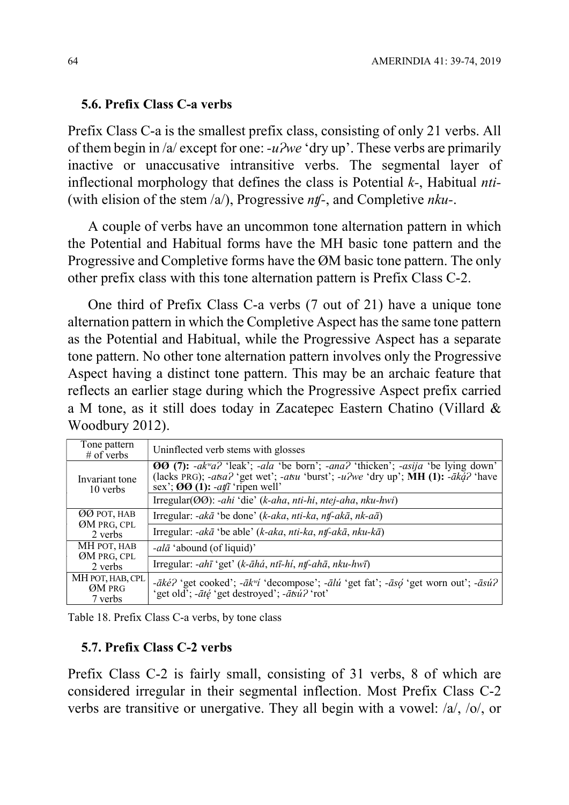### 5.6. Prefix Class C-a verbs

Prefix Class C-a is the smallest prefix class, consisting of only 21 verbs. All of them begin in /a/ except for one:  $-u^2we$  'dry up'. These verbs are primarily inactive or unaccusative intransitive verbs. The segmental layer of inflectional morphology that defines the class is Potential  $k$ -, Habitual *nti*-(with elision of the stem  $\langle a \rangle$ ), Progressive *nt*  $\langle a \rangle$ , and Completive *nku*-.

A couple of verbs have an uncommon tone alternation pattern in which the Potential and Habitual forms have the MH basic tone pattern and the Progressive and Completive forms have the ØM basic tone pattern. The only other prefix class with this tone alternation pattern is Prefix Class C-2.

One third of Prefix Class C-a verbs (7 out of 21) have a unique tone alternation pattern in which the Completive Aspect has the same tone pattern as the Potential and Habitual, while the Progressive Aspect has a separate tone pattern. No other tone alternation pattern involves only the Progressive Aspect having a distinct tone pattern. This may be an archaic feature that reflects an earlier stage during which the Progressive Aspect prefix carried a M tone, as it still does today in Zacatepec Eastern Chatino (Villard & Woodbury 2012).

| Tone pattern<br>$#$ of verbs          | Uninflected verb stems with glosses                                                                                                                                                                                                                                                    |
|---------------------------------------|----------------------------------------------------------------------------------------------------------------------------------------------------------------------------------------------------------------------------------------------------------------------------------------|
| Invariant tone<br>10 verbs            | <b>00 (7):</b> $-ak^{\prime\prime}a2$ 'leak'; $-ala$ 'be born'; $-ana2$ 'thicken'; $-asija$ 'be lying down'<br>(lacks PRG); -atsa? 'get wet'; -atsu 'burst'; -u?we 'dry up'; MH (1): - $\bar{a}k\bar{a}$ ? 'have<br>sex'; $\Theta$ $\Theta$ (1): -at $\theta$ <sup>†</sup> ripen well' |
|                                       | Irregular(OO): -ahi 'die' (k-aha, nti-hi, ntej-aha, nku-hwi)                                                                                                                                                                                                                           |
| ØØ POT, HAB<br>ØM PRG, CPL<br>2 verbs | Irregular: -akā 'be done' (k-aka, nti-ka, ntf-akā, nk-aā)                                                                                                                                                                                                                              |
|                                       | Irregular: $-ak\bar{a}$ 'be able' (k-aka, nti-ka, ntf-ak $\bar{a}$ , nku-k $\bar{a}$ )                                                                                                                                                                                                 |
| MH POT, HAB<br>ØM PRG, CPL<br>2 verbs | <i>-alā</i> 'abound (of liquid)'                                                                                                                                                                                                                                                       |
|                                       | Irregular: $-ah\bar{\imath}$ 'get' (k- $\bar{a}h\dot{a}$ , ntī-hi, ntf-ah $\bar{a}$ , nku-hwī)                                                                                                                                                                                         |
| MH POT, HAB, CPL<br>ØM PRG<br>7 verbs | - $\bar{a}k\acute{e}2$ 'get cooked'; - $\bar{a}k\acute{v}i$ 'decompose'; - $\bar{a}l\acute{u}$ 'get fat'; - $\bar{a}s\acute{o}$ 'get worn out'; - $\bar{a}s\acute{u}2$<br>'get old'; - <i>até</i> 'get destroyed'; - <i>atsú?</i> 'rot'                                                |

Table 18. Prefix Class C-a verbs, by tone class

### 5.7. Prefix Class C-2 verbs

Prefix Class C-2 is fairly small, consisting of 31 verbs, 8 of which are considered irregular in their segmental inflection. Most Prefix Class C-2 verbs are transitive or unergative. They all begin with a vowel: /a/, /o/, or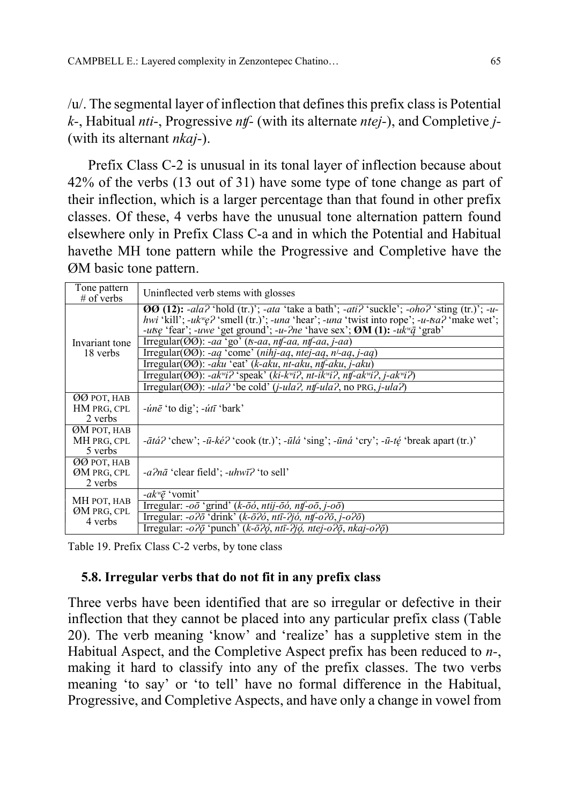/u/. The segmental layer of inflection that defines this prefix class is Potential  $k$ -, Habitual *nti*-, Progressive *nt* – (with its alternate *ntej*-), and Completive *j*-(with its alternant nkaj-).

Prefix Class C-2 is unusual in its tonal layer of inflection because about 42% of the verbs (13 out of 31) have some type of tone change as part of their inflection, which is a larger percentage than that found in other prefix classes. Of these, 4 verbs have the unusual tone alternation pattern found elsewhere only in Prefix Class C-a and in which the Potential and Habitual havethe MH tone pattern while the Progressive and Completive have the ØM basic tone pattern.

| Tone pattern<br>$#$ of verbs          | Uninflected verb stems with glosses                                                                                                                                                                                                                                                                                          |
|---------------------------------------|------------------------------------------------------------------------------------------------------------------------------------------------------------------------------------------------------------------------------------------------------------------------------------------------------------------------------|
|                                       | <b>OO</b> (12): -ala? 'hold (tr.)'; -ata 'take a bath'; -ati? 'suckle'; -oho? 'sting (tr.)'; -u-<br>hwi 'kill'; -uk <sup>w</sup> e? 'smell (tr.)'; -una 'hear'; -una 'twist into rope'; -u-tsa? 'make wet';<br>-utse 'fear'; -uwe 'get ground'; -u-?ne 'have sex'; $\boldsymbol{Q}$ M (1): -uk <sup>w</sup> $\bar{q}$ 'grab' |
| Invariant tone<br>18 verbs            | Irregular( $\text{OO}$ ): -aa 'go' ( $\text{t}$ -aa, ntf-aa, ntf-aa, j-aa)                                                                                                                                                                                                                                                   |
|                                       | Irregular( $\text{OO}$ ): -aq 'come' (nihj-aq, ntej-aq, n <sup>j</sup> -aq, j-aq)                                                                                                                                                                                                                                            |
|                                       | Irregular( $\emptyset\emptyset$ ): -aku 'eat' (k-aku, nt-aku, ntf-aku, j-aku)                                                                                                                                                                                                                                                |
|                                       | Irregular( $\mathcal{O}(\mathcal{O})$ : -ak <sup>w</sup> i? 'speak' (ki-k <sup>w</sup> i?, nt-ik <sup>w</sup> i?, ntf-ak <sup>w</sup> i?, j-ak <sup>w</sup> i?)                                                                                                                                                              |
|                                       | $Trregular(\overline{OO})$ : -ula? 'be cold' (j-ula?, ntf-ula?, no PRG, j-ula?)                                                                                                                                                                                                                                              |
| ØØ POT, HAB<br>HM PRG, CPL<br>2 verbs | $-iin\bar{e}$ 'to dig'; $-iit\bar{\iota}$ 'bark'                                                                                                                                                                                                                                                                             |
| ØM POT, HAB<br>MH PRG, CPL<br>5 verbs | $-\bar{a}t\acute{a}$ ? 'chew'; $-\bar{u}-k\acute{e}$ ? 'cook (tr.)'; $-\bar{u}l\acute{a}$ 'sing'; $-\bar{u}n\acute{a}$ 'cry'; $-\bar{u}-t\acute{e}$ 'break apart (tr.)'                                                                                                                                                      |
| ØØ POT, HAB<br>ØM PRG, CPL<br>2 verbs | -a?nā 'clear field'; -uhwī? 'to sell'                                                                                                                                                                                                                                                                                        |
|                                       | $-ak^w\bar{e}$ 'vomit'                                                                                                                                                                                                                                                                                                       |
| MH POT, HAB<br>ØM PRG, CPL<br>4 verbs | Irregular: - $o\bar{o}$ 'grind' (k- $\bar{o}\dot{o}$ , ntij- $\bar{o}\dot{o}$ , ntf- $o\bar{o}$ , j- $o\bar{o}$ )                                                                                                                                                                                                            |
|                                       | Irregular: $-\partial^2 \bar{\partial}$ 'drink' (k- $\bar{\partial}^2 \partial$ , ntī- $\partial j \partial$ , ntf- $\partial^2 \bar{\partial}$ , j- $\partial^2 \bar{\partial}$ )                                                                                                                                           |
|                                       | Irregular: - $o$ ? $\bar{o}$ 'punch' (k- $\bar{o}$ ? $\phi$ , ntī-? $j\phi$ , ntej- $o$ ? $\bar{o}$ , nkaj- $o$ ? $\bar{o}$ )                                                                                                                                                                                                |

Table 19. Prefix Class C-2 verbs, by tone class

## 5.8. Irregular verbs that do not fit in any prefix class

Three verbs have been identified that are so irregular or defective in their inflection that they cannot be placed into any particular prefix class (Table 20). The verb meaning 'know' and 'realize' has a suppletive stem in the Habitual Aspect, and the Completive Aspect prefix has been reduced to n-, making it hard to classify into any of the prefix classes. The two verbs meaning 'to say' or 'to tell' have no formal difference in the Habitual, Progressive, and Completive Aspects, and have only a change in vowel from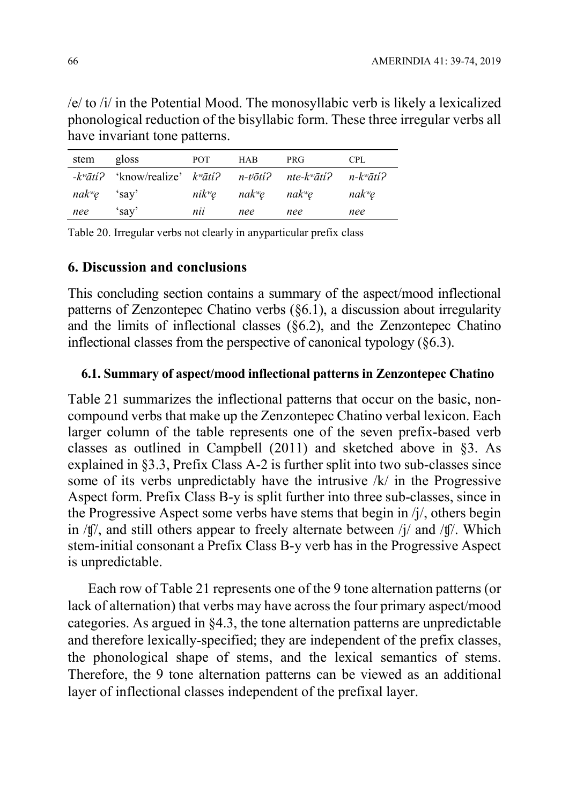/e/ to /i/ in the Potential Mood. The monosyllabic verb is likely a lexicalized phonological reduction of the bisyllabic form. These three irregular verbs all have invariant tone patterns.

| stem gloss    |                                                                                                                                                                                                                                                                                                       | POT | HAB | PRG                                                      | <b>CPL</b>         |
|---------------|-------------------------------------------------------------------------------------------------------------------------------------------------------------------------------------------------------------------------------------------------------------------------------------------------------|-----|-----|----------------------------------------------------------|--------------------|
|               | $-k^{\nu}\bar{a}t$ is the intermediate $k^{\nu}\bar{a}t$ is $k^{\nu}\bar{a}t$ is $n-k^{\nu}\bar{a}t$ is $n-k^{\nu}\bar{a}t$ is $n-k^{\nu}\bar{a}t$ is $n-k^{\nu}\bar{a}t$ is $n-k^{\nu}\bar{a}t$ is $n-k^{\nu}\bar{a}t$ is $n-k^{\nu}\bar{a}t$ is $n-k^{\nu}\bar{a}t$ is $n-k^{\nu}\bar{a}t$ is $n-k$ |     |     |                                                          |                    |
| $nakwę$ 'say' |                                                                                                                                                                                                                                                                                                       |     |     | nik <sup>w</sup> ę nak <sup>w</sup> ę nak <sup>w</sup> ę | nak <sup>w</sup> ę |
| nee 'say'     |                                                                                                                                                                                                                                                                                                       | nii | nee | nee                                                      | nee                |

Table 20. Irregular verbs not clearly in anyparticular prefix class

### 6. Discussion and conclusions

This concluding section contains a summary of the aspect/mood inflectional patterns of Zenzontepec Chatino verbs (§6.1), a discussion about irregularity and the limits of inflectional classes  $(\S6.2)$ , and the Zenzontepec Chatino inflectional classes from the perspective of canonical typology (§6.3).

### 6.1. Summary of aspect/mood inflectional patterns in Zenzontepec Chatino

Table 21 summarizes the inflectional patterns that occur on the basic, noncompound verbs that make up the Zenzontepec Chatino verbal lexicon. Each larger column of the table represents one of the seven prefix-based verb classes as outlined in Campbell (2011) and sketched above in §3. As explained in §3.3, Prefix Class A-2 is further split into two sub-classes since some of its verbs unpredictably have the intrusive  $/k/$  in the Progressive Aspect form. Prefix Class B-y is split further into three sub-classes, since in the Progressive Aspect some verbs have stems that begin in /j/, others begin in /ʧ/, and still others appear to freely alternate between /j/ and /ʧ/. Which stem-initial consonant a Prefix Class B-y verb has in the Progressive Aspect is unpredictable.

Each row of Table 21 represents one of the 9 tone alternation patterns (or lack of alternation) that verbs may have across the four primary aspect/mood categories. As argued in §4.3, the tone alternation patterns are unpredictable and therefore lexically-specified; they are independent of the prefix classes, the phonological shape of stems, and the lexical semantics of stems. Therefore, the 9 tone alternation patterns can be viewed as an additional layer of inflectional classes independent of the prefixal layer.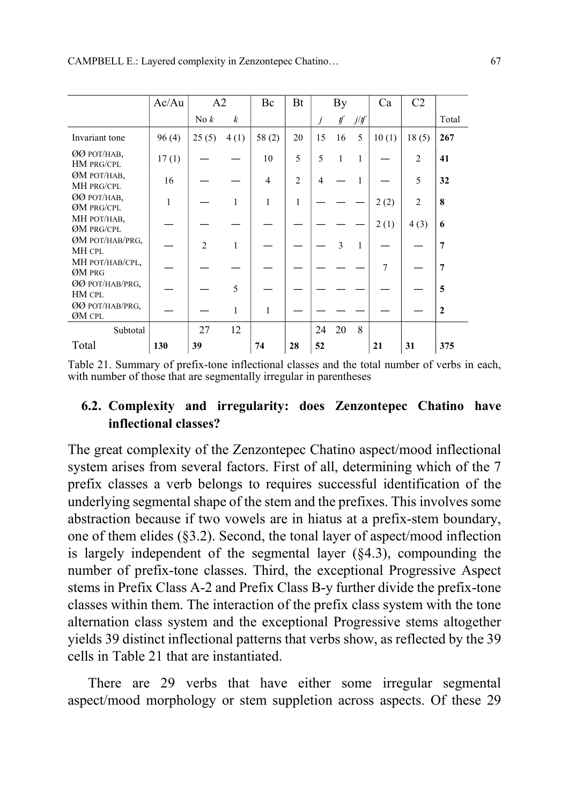|                                  | Ac/Au        | A2               |                  | Bc             | Bt             |    | By                       |              | Ca    | C2             |                  |
|----------------------------------|--------------|------------------|------------------|----------------|----------------|----|--------------------------|--------------|-------|----------------|------------------|
|                                  |              | $\mathrm{No}\,k$ | $\boldsymbol{k}$ |                |                | j  | $\n  f\n$                | j/f          |       |                | Total            |
| Invariant tone                   | 96(4)        | 25(5)            | 4(1)             | 58(2)          | 20             | 15 | 16                       | 5            | 10(1) | 18(5)          | 267              |
| <b>ØØ POT/HAB,</b><br>HM PRG/CPL | 17(1)        |                  |                  | 10             | 5              | 5  | 1                        | $\mathbf{1}$ |       | $\overline{2}$ | 41               |
| <b>ØM POT/HAB,</b><br>MH PRG/CPL | 16           |                  |                  | $\overline{4}$ | $\mathfrak{D}$ | 4  |                          | 1            |       | 5              | 32               |
| <b>ØØ POT/HAB,</b><br>ØM PRG/CPL | $\mathbf{1}$ |                  | 1                | 1              | 1              |    |                          |              | 2(2)  | $\mathfrak{D}$ | 8                |
| МН РОТ/НАВ,<br>ØM PRG/CPL        |              |                  |                  |                |                |    |                          |              | 2(1)  | 4(3)           | 6                |
| ØM POT/HAB/PRG,<br><b>MH CPL</b> |              | $\mathfrak{D}$   | 1                |                |                |    | $\overline{\mathcal{E}}$ | 1            |       |                | 7                |
| <b>МН РОТ/НАВ/СРL,</b><br>ØM PRG |              |                  |                  |                |                |    |                          |              | 7     |                | 7                |
| ØØ POT/HAB/PRG,<br>HM CPL        |              |                  | 5                |                |                |    |                          |              |       |                | 5                |
| ØØ POT/HAB/PRG,<br>ØM CPL        |              |                  | 1                | 1              |                |    |                          |              |       |                | $\boldsymbol{2}$ |
| Subtotal                         |              | 27               | 12               |                |                | 24 | 20                       | 8            |       |                |                  |
| Total                            | 130          | 39               |                  | 74             | 28             | 52 |                          |              | 21    | 31             | 375              |

Table 21. Summary of prefix-tone inflectional classes and the total number of verbs in each, with number of those that are segmentally irregular in parentheses

# 6.2. Complexity and irregularity: does Zenzontepec Chatino have inflectional classes?

The great complexity of the Zenzontepec Chatino aspect/mood inflectional system arises from several factors. First of all, determining which of the 7 prefix classes a verb belongs to requires successful identification of the underlying segmental shape of the stem and the prefixes. This involves some abstraction because if two vowels are in hiatus at a prefix-stem boundary, one of them elides (§3.2). Second, the tonal layer of aspect/mood inflection is largely independent of the segmental layer (§4.3), compounding the number of prefix-tone classes. Third, the exceptional Progressive Aspect stems in Prefix Class A-2 and Prefix Class B-y further divide the prefix-tone classes within them. The interaction of the prefix class system with the tone alternation class system and the exceptional Progressive stems altogether yields 39 distinct inflectional patterns that verbs show, as reflected by the 39 cells in Table 21 that are instantiated.

There are 29 verbs that have either some irregular segmental aspect/mood morphology or stem suppletion across aspects. Of these 29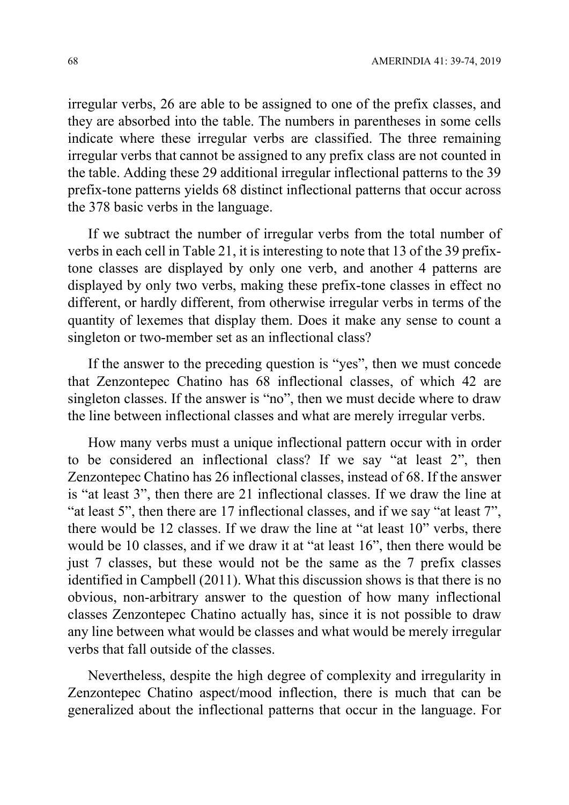irregular verbs, 26 are able to be assigned to one of the prefix classes, and they are absorbed into the table. The numbers in parentheses in some cells indicate where these irregular verbs are classified. The three remaining irregular verbs that cannot be assigned to any prefix class are not counted in the table. Adding these 29 additional irregular inflectional patterns to the 39 prefix-tone patterns yields 68 distinct inflectional patterns that occur across the 378 basic verbs in the language.

If we subtract the number of irregular verbs from the total number of verbs in each cell in Table 21, it is interesting to note that 13 of the 39 prefixtone classes are displayed by only one verb, and another 4 patterns are displayed by only two verbs, making these prefix-tone classes in effect no different, or hardly different, from otherwise irregular verbs in terms of the quantity of lexemes that display them. Does it make any sense to count a singleton or two-member set as an inflectional class?

If the answer to the preceding question is "yes", then we must concede that Zenzontepec Chatino has 68 inflectional classes, of which 42 are singleton classes. If the answer is "no", then we must decide where to draw the line between inflectional classes and what are merely irregular verbs.

How many verbs must a unique inflectional pattern occur with in order to be considered an inflectional class? If we say "at least 2", then Zenzontepec Chatino has 26 inflectional classes, instead of 68. If the answer is "at least 3", then there are 21 inflectional classes. If we draw the line at "at least 5", then there are 17 inflectional classes, and if we say "at least 7", there would be 12 classes. If we draw the line at "at least 10" verbs, there would be 10 classes, and if we draw it at "at least 16", then there would be just 7 classes, but these would not be the same as the 7 prefix classes identified in Campbell (2011). What this discussion shows is that there is no obvious, non-arbitrary answer to the question of how many inflectional classes Zenzontepec Chatino actually has, since it is not possible to draw any line between what would be classes and what would be merely irregular verbs that fall outside of the classes.

Nevertheless, despite the high degree of complexity and irregularity in Zenzontepec Chatino aspect/mood inflection, there is much that can be generalized about the inflectional patterns that occur in the language. For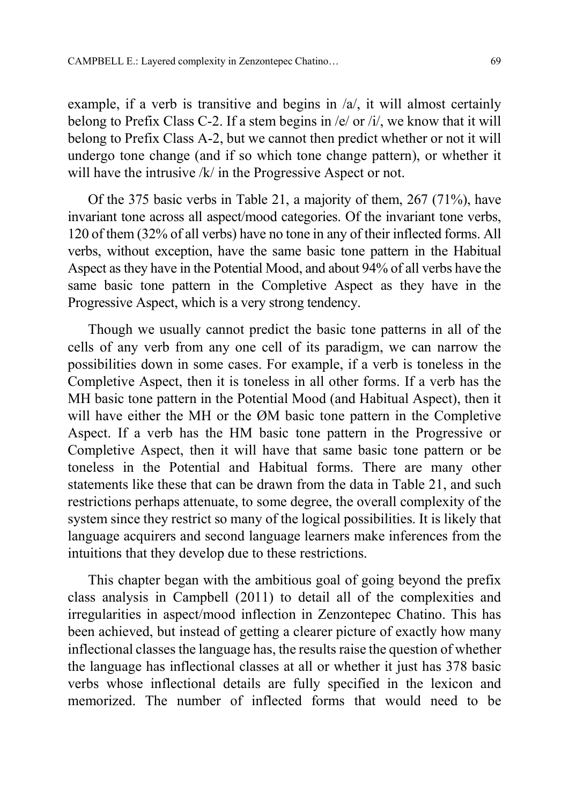example, if a verb is transitive and begins in /a/, it will almost certainly belong to Prefix Class C-2. If a stem begins in /e/ or /i/, we know that it will belong to Prefix Class A-2, but we cannot then predict whether or not it will undergo tone change (and if so which tone change pattern), or whether it will have the intrusive /k/ in the Progressive Aspect or not.

Of the 375 basic verbs in Table 21, a majority of them, 267 (71%), have invariant tone across all aspect/mood categories. Of the invariant tone verbs, 120 of them (32% of all verbs) have no tone in any of their inflected forms. All verbs, without exception, have the same basic tone pattern in the Habitual Aspect as they have in the Potential Mood, and about 94% of all verbs have the same basic tone pattern in the Completive Aspect as they have in the Progressive Aspect, which is a very strong tendency.

Though we usually cannot predict the basic tone patterns in all of the cells of any verb from any one cell of its paradigm, we can narrow the possibilities down in some cases. For example, if a verb is toneless in the Completive Aspect, then it is toneless in all other forms. If a verb has the MH basic tone pattern in the Potential Mood (and Habitual Aspect), then it will have either the MH or the ØM basic tone pattern in the Completive Aspect. If a verb has the HM basic tone pattern in the Progressive or Completive Aspect, then it will have that same basic tone pattern or be toneless in the Potential and Habitual forms. There are many other statements like these that can be drawn from the data in Table 21, and such restrictions perhaps attenuate, to some degree, the overall complexity of the system since they restrict so many of the logical possibilities. It is likely that language acquirers and second language learners make inferences from the intuitions that they develop due to these restrictions.

This chapter began with the ambitious goal of going beyond the prefix class analysis in Campbell (2011) to detail all of the complexities and irregularities in aspect/mood inflection in Zenzontepec Chatino. This has been achieved, but instead of getting a clearer picture of exactly how many inflectional classes the language has, the results raise the question of whether the language has inflectional classes at all or whether it just has 378 basic verbs whose inflectional details are fully specified in the lexicon and memorized. The number of inflected forms that would need to be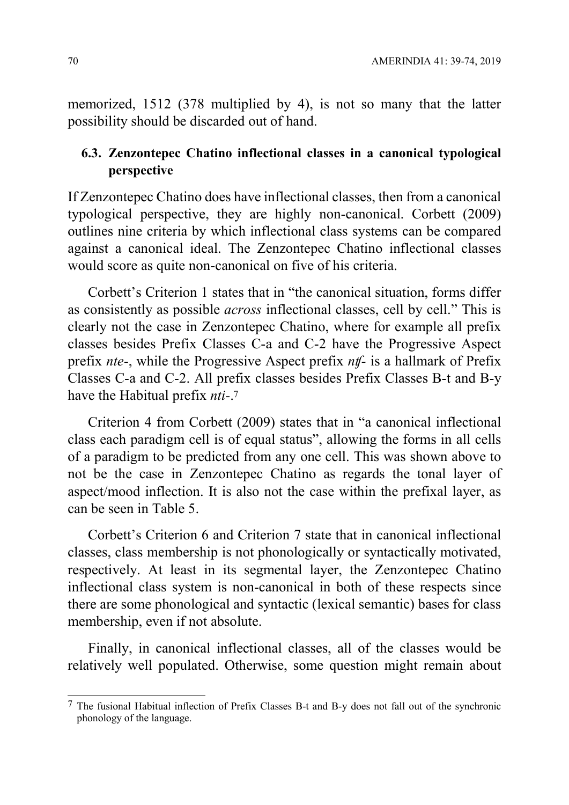memorized, 1512 (378 multiplied by 4), is not so many that the latter possibility should be discarded out of hand.

# 6.3. Zenzontepec Chatino inflectional classes in a canonical typological perspective

If Zenzontepec Chatino does have inflectional classes, then from a canonical typological perspective, they are highly non-canonical. Corbett (2009) outlines nine criteria by which inflectional class systems can be compared against a canonical ideal. The Zenzontepec Chatino inflectional classes would score as quite non-canonical on five of his criteria.

Corbett's Criterion 1 states that in "the canonical situation, forms differ as consistently as possible across inflectional classes, cell by cell." This is clearly not the case in Zenzontepec Chatino, where for example all prefix classes besides Prefix Classes C-a and C-2 have the Progressive Aspect prefix nte-, while the Progressive Aspect prefix nʧ- is a hallmark of Prefix Classes C-a and C-2. All prefix classes besides Prefix Classes B-t and B-y have the Habitual prefix *nti-*.<sup>7</sup>

Criterion 4 from Corbett (2009) states that in "a canonical inflectional class each paradigm cell is of equal status", allowing the forms in all cells of a paradigm to be predicted from any one cell. This was shown above to not be the case in Zenzontepec Chatino as regards the tonal layer of aspect/mood inflection. It is also not the case within the prefixal layer, as can be seen in Table 5.

Corbett's Criterion 6 and Criterion 7 state that in canonical inflectional classes, class membership is not phonologically or syntactically motivated, respectively. At least in its segmental layer, the Zenzontepec Chatino inflectional class system is non-canonical in both of these respects since there are some phonological and syntactic (lexical semantic) bases for class membership, even if not absolute.

Finally, in canonical inflectional classes, all of the classes would be relatively well populated. Otherwise, some question might remain about

-

 $7$  The fusional Habitual inflection of Prefix Classes B-t and B-y does not fall out of the synchronic phonology of the language.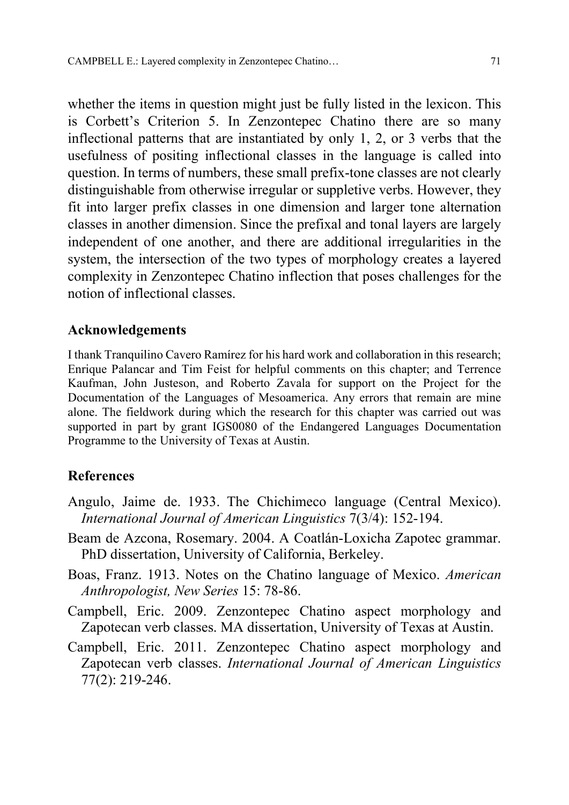whether the items in question might just be fully listed in the lexicon. This is Corbett's Criterion 5. In Zenzontepec Chatino there are so many inflectional patterns that are instantiated by only 1, 2, or 3 verbs that the usefulness of positing inflectional classes in the language is called into question. In terms of numbers, these small prefix-tone classes are not clearly distinguishable from otherwise irregular or suppletive verbs. However, they fit into larger prefix classes in one dimension and larger tone alternation classes in another dimension. Since the prefixal and tonal layers are largely independent of one another, and there are additional irregularities in the system, the intersection of the two types of morphology creates a layered complexity in Zenzontepec Chatino inflection that poses challenges for the notion of inflectional classes.

## Acknowledgements

I thank Tranquilino Cavero Ramírez for his hard work and collaboration in this research; Enrique Palancar and Tim Feist for helpful comments on this chapter; and Terrence Kaufman, John Justeson, and Roberto Zavala for support on the Project for the Documentation of the Languages of Mesoamerica. Any errors that remain are mine alone. The fieldwork during which the research for this chapter was carried out was supported in part by grant IGS0080 of the Endangered Languages Documentation Programme to the University of Texas at Austin.

## References

- Angulo, Jaime de. 1933. The Chichimeco language (Central Mexico). International Journal of American Linguistics 7(3/4): 152-194.
- Beam de Azcona, Rosemary. 2004. A Coatlán-Loxicha Zapotec grammar. PhD dissertation, University of California, Berkeley.
- Boas, Franz. 1913. Notes on the Chatino language of Mexico. American Anthropologist, New Series 15: 78-86.
- Campbell, Eric. 2009. Zenzontepec Chatino aspect morphology and Zapotecan verb classes. MA dissertation, University of Texas at Austin.
- Campbell, Eric. 2011. Zenzontepec Chatino aspect morphology and Zapotecan verb classes. International Journal of American Linguistics 77(2): 219-246.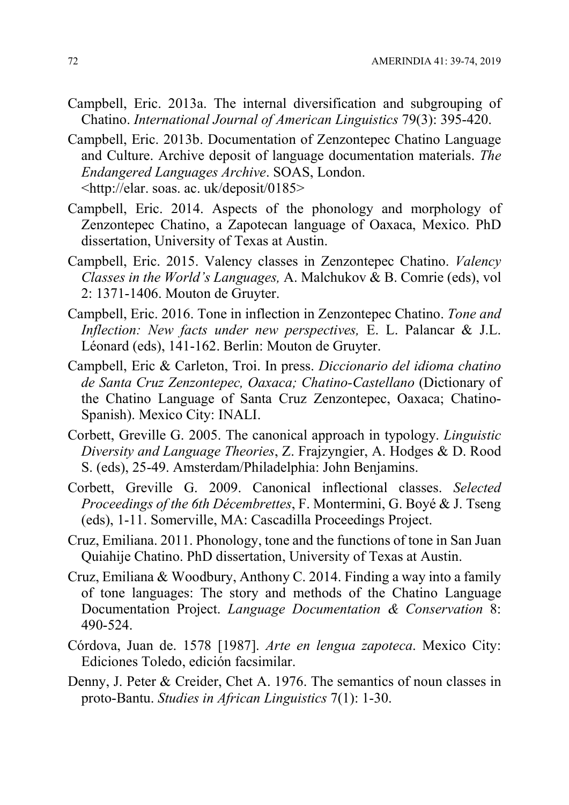- Campbell, Eric. 2013a. The internal diversification and subgrouping of Chatino. International Journal of American Linguistics 79(3): 395-420.
- Campbell, Eric. 2013b. Documentation of Zenzontepec Chatino Language and Culture. Archive deposit of language documentation materials. The Endangered Languages Archive. SOAS, London. <http://elar. soas. ac. uk/deposit/0185>
- Campbell, Eric. 2014. Aspects of the phonology and morphology of Zenzontepec Chatino, a Zapotecan language of Oaxaca, Mexico. PhD dissertation, University of Texas at Austin.
- Campbell, Eric. 2015. Valency classes in Zenzontepec Chatino. Valency Classes in the World's Languages, A. Malchukov & B. Comrie (eds), vol 2: 1371-1406. Mouton de Gruyter.
- Campbell, Eric. 2016. Tone in inflection in Zenzontepec Chatino. Tone and Inflection: New facts under new perspectives, E. L. Palancar & J.L. Léonard (eds), 141-162. Berlin: Mouton de Gruyter.
- Campbell, Eric & Carleton, Troi. In press. Diccionario del idioma chatino de Santa Cruz Zenzontepec, Oaxaca; Chatino-Castellano (Dictionary of the Chatino Language of Santa Cruz Zenzontepec, Oaxaca; Chatino-Spanish). Mexico City: INALI.
- Corbett, Greville G. 2005. The canonical approach in typology. Linguistic Diversity and Language Theories, Z. Frajzyngier, A. Hodges & D. Rood S. (eds), 25-49. Amsterdam/Philadelphia: John Benjamins.
- Corbett, Greville G. 2009. Canonical inflectional classes. Selected Proceedings of the 6th Décembrettes, F. Montermini, G. Boyé & J. Tseng (eds), 1-11. Somerville, MA: Cascadilla Proceedings Project.
- Cruz, Emiliana. 2011. Phonology, tone and the functions of tone in San Juan Quiahije Chatino. PhD dissertation, University of Texas at Austin.
- Cruz, Emiliana & Woodbury, Anthony C. 2014. Finding a way into a family of tone languages: The story and methods of the Chatino Language Documentation Project. Language Documentation & Conservation 8: 490-524.
- Córdova, Juan de. 1578 [1987]. Arte en lengua zapoteca. Mexico City: Ediciones Toledo, edición facsimilar.
- Denny, J. Peter & Creider, Chet A. 1976. The semantics of noun classes in proto-Bantu. Studies in African Linguistics 7(1): 1-30.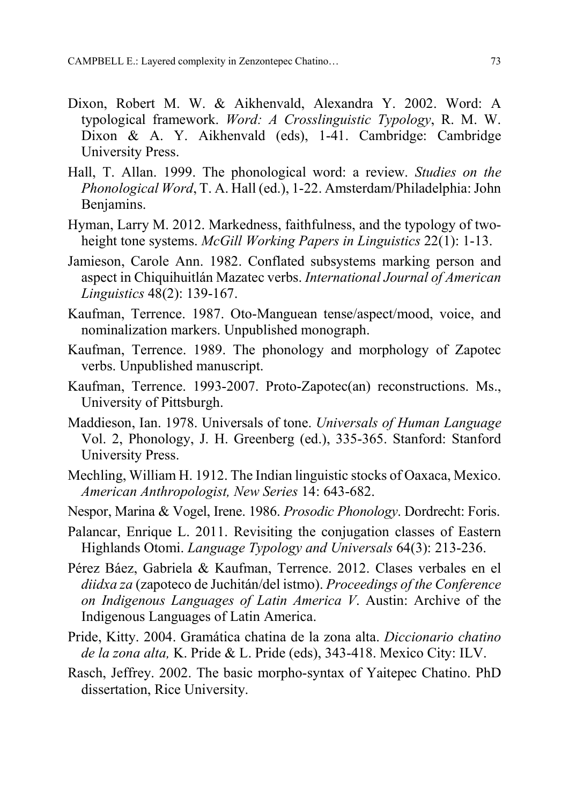- Dixon, Robert M. W. & Aikhenvald, Alexandra Y. 2002. Word: A typological framework. Word: A Crosslinguistic Typology, R. M. W. Dixon & A. Y. Aikhenvald (eds), 1-41. Cambridge: Cambridge University Press.
- Hall, T. Allan. 1999. The phonological word: a review. Studies on the Phonological Word, T. A. Hall (ed.), 1-22. Amsterdam/Philadelphia: John Benjamins.
- Hyman, Larry M. 2012. Markedness, faithfulness, and the typology of twoheight tone systems. *McGill Working Papers in Linguistics* 22(1): 1-13.
- Jamieson, Carole Ann. 1982. Conflated subsystems marking person and aspect in Chiquihuitlán Mazatec verbs. International Journal of American Linguistics 48(2): 139-167.
- Kaufman, Terrence. 1987. Oto-Manguean tense/aspect/mood, voice, and nominalization markers. Unpublished monograph.
- Kaufman, Terrence. 1989. The phonology and morphology of Zapotec verbs. Unpublished manuscript.
- Kaufman, Terrence. 1993-2007. Proto-Zapotec(an) reconstructions. Ms., University of Pittsburgh.
- Maddieson, Ian. 1978. Universals of tone. Universals of Human Language Vol. 2, Phonology, J. H. Greenberg (ed.), 335-365. Stanford: Stanford University Press.
- Mechling, William H. 1912. The Indian linguistic stocks of Oaxaca, Mexico. American Anthropologist, New Series 14: 643-682.
- Nespor, Marina & Vogel, Irene. 1986. Prosodic Phonology. Dordrecht: Foris.
- Palancar, Enrique L. 2011. Revisiting the conjugation classes of Eastern Highlands Otomi. Language Typology and Universals 64(3): 213-236.
- Pérez Báez, Gabriela & Kaufman, Terrence. 2012. Clases verbales en el diidxa za (zapoteco de Juchitán/del istmo). Proceedings of the Conference on Indigenous Languages of Latin America V. Austin: Archive of the Indigenous Languages of Latin America.
- Pride, Kitty. 2004. Gramática chatina de la zona alta. Diccionario chatino de la zona alta, K. Pride & L. Pride (eds), 343-418. Mexico City: ILV.
- Rasch, Jeffrey. 2002. The basic morpho-syntax of Yaitepec Chatino. PhD dissertation, Rice University.